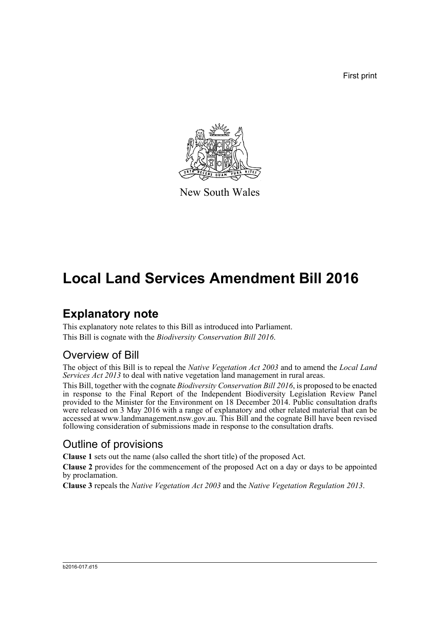First print



New South Wales

# **Local Land Services Amendment Bill 2016**

# **Explanatory note**

This explanatory note relates to this Bill as introduced into Parliament. This Bill is cognate with the *Biodiversity Conservation Bill 2016*.

## Overview of Bill

The object of this Bill is to repeal the *Native Vegetation Act 2003* and to amend the *Local Land Services Act 2013* to deal with native vegetation land management in rural areas.

This Bill, together with the cognate *Biodiversity Conservation Bill 2016*, is proposed to be enacted in response to the Final Report of the Independent Biodiversity Legislation Review Panel provided to the Minister for the Environment on 18 December 2014. Public consultation drafts were released on 3 May 2016 with a range of explanatory and other related material that can be accessed at www.landmanagement.nsw.gov.au. This Bill and the cognate Bill have been revised following consideration of submissions made in response to the consultation drafts.

## Outline of provisions

**Clause 1** sets out the name (also called the short title) of the proposed Act.

**Clause 2** provides for the commencement of the proposed Act on a day or days to be appointed by proclamation.

**Clause 3** repeals the *Native Vegetation Act 2003* and the *Native Vegetation Regulation 2013*.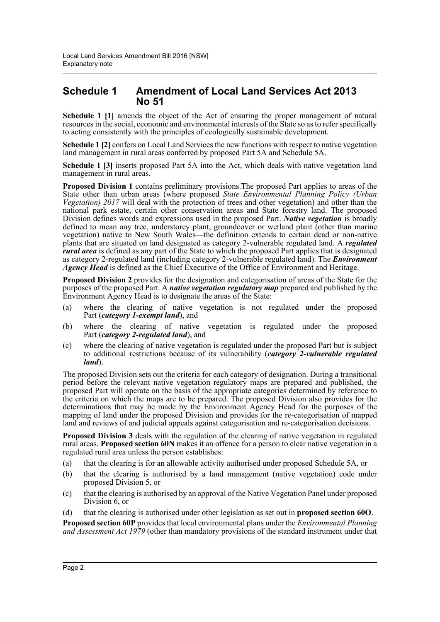### **Schedule 1 Amendment of Local Land Services Act 2013 No 51**

**Schedule 1 [1]** amends the object of the Act of ensuring the proper management of natural resources in the social, economic and environmental interests of the State so as to refer specifically to acting consistently with the principles of ecologically sustainable development.

**Schedule 1 [2]** confers on Local Land Services the new functions with respect to native vegetation land management in rural areas conferred by proposed Part 5A and Schedule 5A.

**Schedule 1 [3]** inserts proposed Part 5A into the Act, which deals with native vegetation land management in rural areas.

**Proposed Division 1** contains preliminary provisions.The proposed Part applies to areas of the State other than urban areas (where proposed *State Environmental Planning Policy (Urban Vegetation) 2017* will deal with the protection of trees and other vegetation) and other than the national park estate, certain other conservation areas and State forestry land. The proposed Division defines words and expressions used in the proposed Part. *Native vegetation* is broadly defined to mean any tree, understorey plant, groundcover or wetland plant (other than marine vegetation) native to New South Wales—the definition extends to certain dead or non-native plants that are situated on land designated as category 2-vulnerable regulated land. A *regulated rural area* is defined as any part of the State to which the proposed Part applies that is designated as category 2-regulated land (including category 2-vulnerable regulated land). The *Environment Agency Head* is defined as the Chief Executive of the Office of Environment and Heritage.

**Proposed Division 2** provides for the designation and categorisation of areas of the State for the purposes of the proposed Part. A *native vegetation regulatory map* prepared and published by the Environment Agency Head is to designate the areas of the State:

- (a) where the clearing of native vegetation is not regulated under the proposed Part (*category 1-exempt land*), and
- (b) where the clearing of native vegetation is regulated under the proposed Part (*category 2-regulated land*), and
- (c) where the clearing of native vegetation is regulated under the proposed Part but is subject to additional restrictions because of its vulnerability (*category 2-vulnerable regulated land*).

The proposed Division sets out the criteria for each category of designation. During a transitional period before the relevant native vegetation regulatory maps are prepared and published, the proposed Part will operate on the basis of the appropriate categories determined by reference to the criteria on which the maps are to be prepared. The proposed Division also provides for the determinations that may be made by the Environment Agency Head for the purposes of the mapping of land under the proposed Division and provides for the re-categorisation of mapped land and reviews of and judicial appeals against categorisation and re-categorisation decisions.

**Proposed Division 3** deals with the regulation of the clearing of native vegetation in regulated rural areas. **Proposed section 60N** makes it an offence for a person to clear native vegetation in a regulated rural area unless the person establishes:

- (a) that the clearing is for an allowable activity authorised under proposed Schedule 5A, or
- (b) that the clearing is authorised by a land management (native vegetation) code under proposed Division 5, or
- (c) that the clearing is authorised by an approval of the Native Vegetation Panel under proposed Division 6, or
- (d) that the clearing is authorised under other legislation as set out in **proposed section 60O**.

**Proposed section 60P** provides that local environmental plans under the *Environmental Planning and Assessment Act 1979* (other than mandatory provisions of the standard instrument under that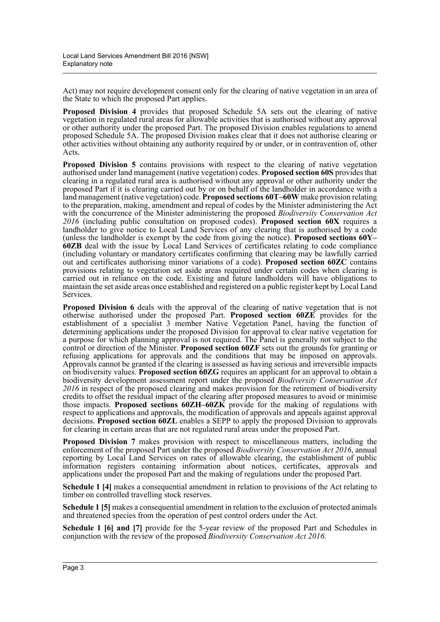Act) may not require development consent only for the clearing of native vegetation in an area of the State to which the proposed Part applies.

**Proposed Division 4** provides that proposed Schedule 5A sets out the clearing of native vegetation in regulated rural areas for allowable activities that is authorised without any approval or other authority under the proposed Part. The proposed Division enables regulations to amend proposed Schedule 5A. The proposed Division makes clear that it does not authorise clearing or other activities without obtaining any authority required by or under, or in contravention of, other Acts.

**Proposed Division 5** contains provisions with respect to the clearing of native vegetation authorised under land management (native vegetation) codes. **Proposed section 60S** provides that clearing in a regulated rural area is authorised without any approval or other authority under the proposed Part if it is clearing carried out by or on behalf of the landholder in accordance with a land management (native vegetation) code. **Proposed sections 60T–60W** make provision relating to the preparation, making, amendment and repeal of codes by the Minister administering the Act with the concurrence of the Minister administering the proposed *Biodiversity Conservation Act 2016* (including public consultation on proposed codes). **Proposed section 60X** requires a landholder to give notice to Local Land Services of any clearing that is authorised by a code (unless the landholder is exempt by the code from giving the notice). **Proposed sections 60Y– 60ZB** deal with the issue by Local Land Services of certificates relating to code compliance (including voluntary or mandatory certificates confirming that clearing may be lawfully carried out and certificates authorising minor variations of a code). **Proposed section 60ZC** contains provisions relating to vegetation set aside areas required under certain codes when clearing is carried out in reliance on the code. Existing and future landholders will have obligations to maintain the set aside areas once established and registered on a public register kept by Local Land Services.

**Proposed Division 6** deals with the approval of the clearing of native vegetation that is not otherwise authorised under the proposed Part. **Proposed section 60ZE** provides for the establishment of a specialist 3 member Native Vegetation Panel, having the function of determining applications under the proposed Division for approval to clear native vegetation for a purpose for which planning approval is not required. The Panel is generally not subject to the control or direction of the Minister. **Proposed section 60ZF** sets out the grounds for granting or refusing applications for approvals and the conditions that may be imposed on approvals. Approvals cannot be granted if the clearing is assessed as having serious and irreversible impacts on biodiversity values. **Proposed section 60ZG** requires an applicant for an approval to obtain a biodiversity development assessment report under the proposed *Biodiversity Conservation Act 2016* in respect of the proposed clearing and makes provision for the retirement of biodiversity credits to offset the residual impact of the clearing after proposed measures to avoid or minimise those impacts. **Proposed sections 60ZH–60ZK** provide for the making of regulations with respect to applications and approvals, the modification of approvals and appeals against approval decisions. **Proposed section 60ZL** enables a SEPP to apply the proposed Division to approvals for clearing in certain areas that are not regulated rural areas under the proposed Part.

**Proposed Division 7** makes provision with respect to miscellaneous matters, including the enforcement of the proposed Part under the proposed *Biodiversity Conservation Act 2016*, annual reporting by Local Land Services on rates of allowable clearing, the establishment of public information registers containing information about notices, certificates, approvals and applications under the proposed Part and the making of regulations under the proposed Part.

**Schedule 1 [4]** makes a consequential amendment in relation to provisions of the Act relating to timber on controlled travelling stock reserves.

**Schedule 1 [5]** makes a consequential amendment in relation to the exclusion of protected animals and threatened species from the operation of pest control orders under the Act.

**Schedule 1 [6] and [7]** provide for the 5-year review of the proposed Part and Schedules in conjunction with the review of the proposed *Biodiversity Conservation Act 2016*.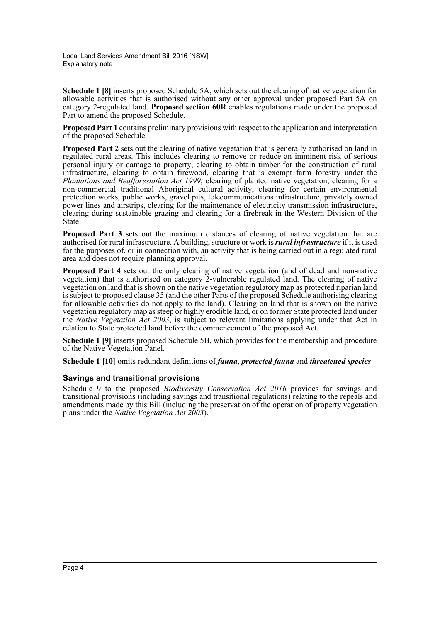**Schedule 1 [8]** inserts proposed Schedule 5A, which sets out the clearing of native vegetation for allowable activities that is authorised without any other approval under proposed Part 5A on category 2-regulated land. **Proposed section 60R** enables regulations made under the proposed Part to amend the proposed Schedule.

**Proposed Part 1** contains preliminary provisions with respect to the application and interpretation of the proposed Schedule.

**Proposed Part 2** sets out the clearing of native vegetation that is generally authorised on land in regulated rural areas. This includes clearing to remove or reduce an imminent risk of serious personal injury or damage to property, clearing to obtain timber for the construction of rural infrastructure, clearing to obtain firewood, clearing that is exempt farm forestry under the *Plantations and Reafforestation Act 1999*, clearing of planted native vegetation, clearing for a non-commercial traditional Aboriginal cultural activity, clearing for certain environmental protection works, public works, gravel pits, telecommunications infrastructure, privately owned power lines and airstrips, clearing for the maintenance of electricity transmission infrastructure, clearing during sustainable grazing and clearing for a firebreak in the Western Division of the State.

**Proposed Part 3** sets out the maximum distances of clearing of native vegetation that are authorised for rural infrastructure. A building, structure or work is *rural infrastructure* if it is used for the purposes of, or in connection with, an activity that is being carried out in a regulated rural area and does not require planning approval.

**Proposed Part 4** sets out the only clearing of native vegetation (and of dead and non-native vegetation) that is authorised on category 2-vulnerable regulated land. The clearing of native vegetation on land that is shown on the native vegetation regulatory map as protected riparian land is subject to proposed clause 35 (and the other Parts of the proposed Schedule authorising clearing for allowable activities do not apply to the land). Clearing on land that is shown on the native vegetation regulatory map as steep or highly erodible land, or on former State protected land under the *Native Vegetation Act 2003*, is subject to relevant limitations applying under that Act in relation to State protected land before the commencement of the proposed Act.

**Schedule 1 [9]** inserts proposed Schedule 5B, which provides for the membership and procedure of the Native Vegetation Panel.

**Schedule 1 [10]** omits redundant definitions of *fauna*, *protected fauna* and *threatened species*.

#### **Savings and transitional provisions**

Schedule 9 to the proposed *Biodiversity Conservation Act 2016* provides for savings and transitional provisions (including savings and transitional regulations) relating to the repeals and amendments made by this Bill (including the preservation of the operation of property vegetation plans under the *Native Vegetation Act 2003*).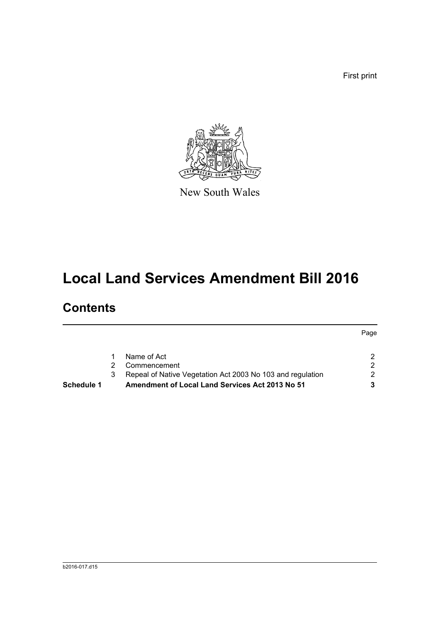First print

Page



New South Wales

# **Local Land Services Amendment Bill 2016**

# **Contents**

| <b>Amendment of Local Land Services Act 2013 No 51</b>     | 3. |
|------------------------------------------------------------|----|
| Repeal of Native Vegetation Act 2003 No 103 and regulation | 2  |
| Commencement                                               | 2. |
| Name of Act                                                |    |
|                                                            | 3  |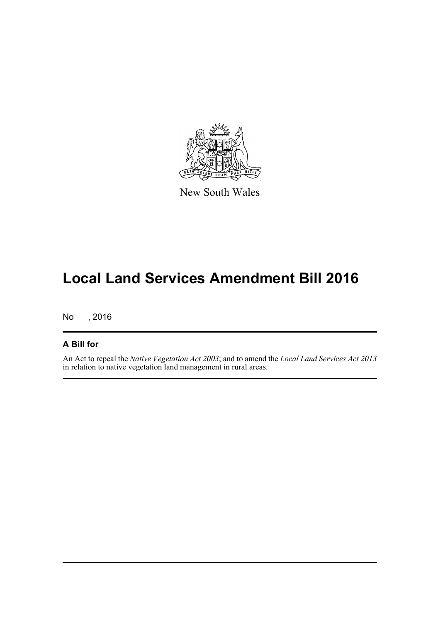

New South Wales

# **Local Land Services Amendment Bill 2016**

No , 2016

### **A Bill for**

An Act to repeal the *Native Vegetation Act 2003*; and to amend the *Local Land Services Act 2013* in relation to native vegetation land management in rural areas.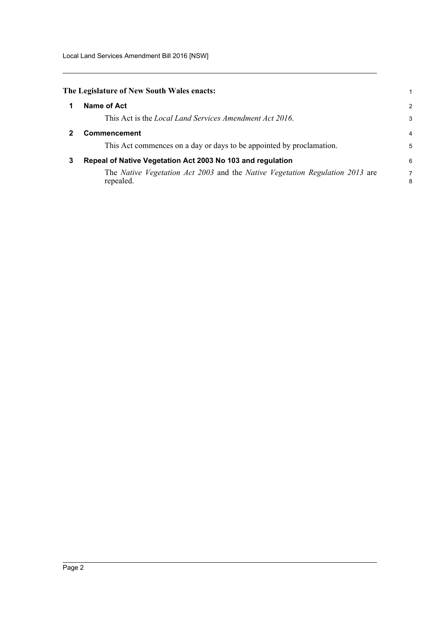<span id="page-6-2"></span><span id="page-6-1"></span><span id="page-6-0"></span>

|   | The Legislature of New South Wales enacts:                                                |                |
|---|-------------------------------------------------------------------------------------------|----------------|
|   | Name of Act                                                                               | 2              |
|   | This Act is the <i>Local Land Services Amendment Act 2016</i> .                           | 3              |
| 2 | <b>Commencement</b>                                                                       | $\overline{4}$ |
|   | This Act commences on a day or days to be appointed by proclamation.                      | 5              |
| 3 | Repeal of Native Vegetation Act 2003 No 103 and regulation                                | 6              |
|   | The Native Vegetation Act 2003 and the Native Vegetation Regulation 2013 are<br>repealed. | 7<br>8         |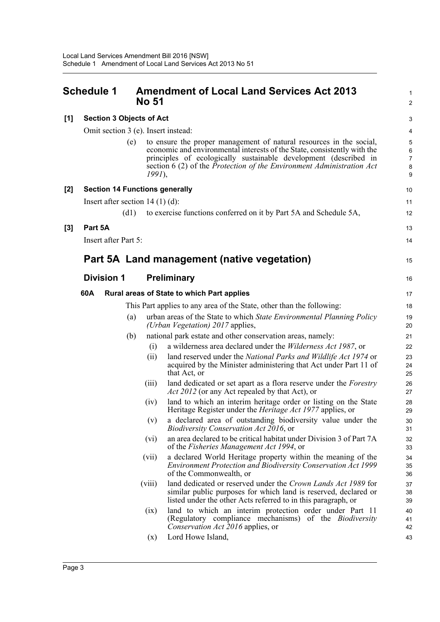<span id="page-7-0"></span>

|     | Schedule 1                            | <b>No 51</b> | <b>Amendment of Local Land Services Act 2013</b>                                                                                                                                                                                                                                                         | $\mathbf{1}$<br>$\overline{2}$                  |
|-----|---------------------------------------|--------------|----------------------------------------------------------------------------------------------------------------------------------------------------------------------------------------------------------------------------------------------------------------------------------------------------------|-------------------------------------------------|
| [1] | <b>Section 3 Objects of Act</b>       |              |                                                                                                                                                                                                                                                                                                          | 3                                               |
|     | Omit section 3 (e). Insert instead:   |              |                                                                                                                                                                                                                                                                                                          | 4                                               |
|     |                                       | (e)          | to ensure the proper management of natural resources in the social,<br>economic and environmental interests of the State, consistently with the<br>principles of ecologically sustainable development (described in<br>section 6 (2) of the Protection of the Environment Administration Act<br>$1991$ , | $\overline{5}$<br>6<br>$\overline{7}$<br>8<br>9 |
| [2] | <b>Section 14 Functions generally</b> |              |                                                                                                                                                                                                                                                                                                          | 10                                              |
|     | Insert after section $14(1)(d)$ :     |              |                                                                                                                                                                                                                                                                                                          | 11                                              |
|     |                                       | (d1)         | to exercise functions conferred on it by Part 5A and Schedule 5A,                                                                                                                                                                                                                                        | 12                                              |
| [3] | Part 5A                               |              |                                                                                                                                                                                                                                                                                                          | 13                                              |
|     | Insert after Part 5:                  |              |                                                                                                                                                                                                                                                                                                          | 14                                              |
|     |                                       |              | Part 5A Land management (native vegetation)                                                                                                                                                                                                                                                              | 15                                              |
|     | <b>Division 1</b>                     |              | Preliminary                                                                                                                                                                                                                                                                                              | 16                                              |
|     | 60A                                   |              | Rural areas of State to which Part applies                                                                                                                                                                                                                                                               | 17                                              |
|     |                                       |              | This Part applies to any area of the State, other than the following:                                                                                                                                                                                                                                    | 18                                              |
|     |                                       | (a)          | urban areas of the State to which State Environmental Planning Policy<br>(Urban Vegetation) 2017 applies,                                                                                                                                                                                                | 19<br>20                                        |
|     |                                       | (b)          | national park estate and other conservation areas, namely:                                                                                                                                                                                                                                               | 21                                              |
|     |                                       | (i)          | a wilderness area declared under the <i>Wilderness Act 1987</i> , or                                                                                                                                                                                                                                     | 22                                              |
|     |                                       | (ii)         | land reserved under the National Parks and Wildlife Act 1974 or<br>acquired by the Minister administering that Act under Part 11 of<br>that Act, or                                                                                                                                                      | 23<br>24<br>25                                  |
|     |                                       | (iii)        | land dedicated or set apart as a flora reserve under the <i>Forestry</i><br><i>Act 2012</i> (or any Act repealed by that Act), or                                                                                                                                                                        | 26<br>27                                        |
|     |                                       | (iv)         | land to which an interim heritage order or listing on the State<br>Heritage Register under the <i>Heritage Act 1977</i> applies, or                                                                                                                                                                      | 28<br>29                                        |
|     |                                       | (v)          | a declared area of outstanding biodiversity value under the<br>Biodiversity Conservation Act 2016, or                                                                                                                                                                                                    | 30<br>31                                        |
|     |                                       | (vi)         | an area declared to be critical habitat under Division 3 of Part 7A<br>of the Fisheries Management Act 1994, or                                                                                                                                                                                          | 32<br>33                                        |
|     |                                       | (vii)        | a declared World Heritage property within the meaning of the<br>Environment Protection and Biodiversity Conservation Act 1999<br>of the Commonwealth, or                                                                                                                                                 | 34<br>35<br>36                                  |
|     |                                       | (viii)       | land dedicated or reserved under the Crown Lands Act 1989 for<br>similar public purposes for which land is reserved, declared or<br>listed under the other Acts referred to in this paragraph, or                                                                                                        | 37<br>38<br>39                                  |
|     |                                       | (ix)         | land to which an interim protection order under Part 11<br>(Regulatory compliance mechanisms) of the Biodiversity<br>Conservation Act 2016 applies, or                                                                                                                                                   | 40<br>41<br>42                                  |
|     |                                       | (x)          | Lord Howe Island,                                                                                                                                                                                                                                                                                        | 43                                              |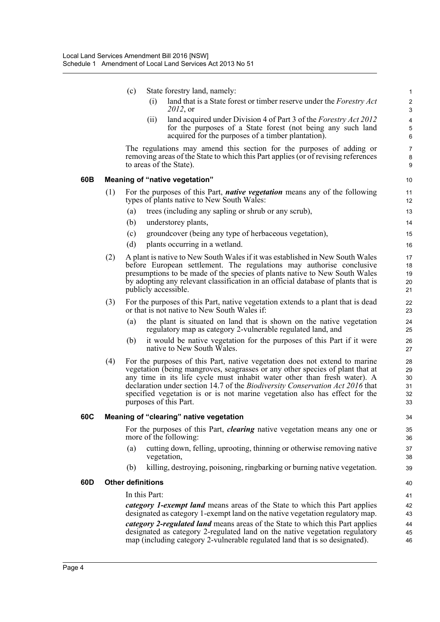|     |     | (c) |                          | State forestry land, namely:                                                                                                                                                                                                                                                                                                                                                                                                      | $\mathbf{1}$                                  |
|-----|-----|-----|--------------------------|-----------------------------------------------------------------------------------------------------------------------------------------------------------------------------------------------------------------------------------------------------------------------------------------------------------------------------------------------------------------------------------------------------------------------------------|-----------------------------------------------|
|     |     |     | (i)                      | land that is a State forest or timber reserve under the <i>Forestry Act</i><br>2012, or                                                                                                                                                                                                                                                                                                                                           | $\boldsymbol{2}$<br>$\ensuremath{\mathsf{3}}$ |
|     |     |     | (ii)                     | land acquired under Division 4 of Part 3 of the Forestry Act 2012<br>for the purposes of a State forest (not being any such land<br>acquired for the purposes of a timber plantation).                                                                                                                                                                                                                                            | $\overline{\mathbf{4}}$<br>5<br>6             |
|     |     |     |                          | The regulations may amend this section for the purposes of adding or<br>removing areas of the State to which this Part applies (or of revising references<br>to areas of the State).                                                                                                                                                                                                                                              | $\overline{7}$<br>$\bf 8$<br>9                |
| 60B |     |     |                          | <b>Meaning of "native vegetation"</b>                                                                                                                                                                                                                                                                                                                                                                                             | 10                                            |
|     | (1) |     |                          | For the purposes of this Part, <i>native vegetation</i> means any of the following<br>types of plants native to New South Wales:                                                                                                                                                                                                                                                                                                  | 11<br>12                                      |
|     |     | (a) |                          | trees (including any sapling or shrub or any scrub),                                                                                                                                                                                                                                                                                                                                                                              | 13                                            |
|     |     | (b) |                          | understorey plants,                                                                                                                                                                                                                                                                                                                                                                                                               | 14                                            |
|     |     | (c) |                          | groundcover (being any type of herbaceous vegetation),                                                                                                                                                                                                                                                                                                                                                                            | 15                                            |
|     |     | (d) |                          | plants occurring in a wetland.                                                                                                                                                                                                                                                                                                                                                                                                    | 16                                            |
|     | (2) |     |                          | A plant is native to New South Wales if it was established in New South Wales<br>before European settlement. The regulations may authorise conclusive<br>presumptions to be made of the species of plants native to New South Wales<br>by adopting any relevant classification in an official database of plants that is<br>publicly accessible.                                                                                  | 17<br>18<br>19<br>20<br>21                    |
|     | (3) |     |                          | For the purposes of this Part, native vegetation extends to a plant that is dead<br>or that is not native to New South Wales if:                                                                                                                                                                                                                                                                                                  | 22<br>23                                      |
|     |     | (a) |                          | the plant is situated on land that is shown on the native vegetation<br>regulatory map as category 2-vulnerable regulated land, and                                                                                                                                                                                                                                                                                               | 24<br>25                                      |
|     |     | (b) |                          | it would be native vegetation for the purposes of this Part if it were<br>native to New South Wales.                                                                                                                                                                                                                                                                                                                              | 26<br>27                                      |
|     | (4) |     |                          | For the purposes of this Part, native vegetation does not extend to marine<br>vegetation (being mangroves, seagrasses or any other species of plant that at<br>any time in its life cycle must inhabit water other than fresh water). A<br>declaration under section 14.7 of the Biodiversity Conservation Act 2016 that<br>specified vegetation is or is not marine vegetation also has effect for the<br>purposes of this Part. | 28<br>29<br>30<br>31<br>32<br>33              |
| 60C |     |     |                          | Meaning of "clearing" native vegetation                                                                                                                                                                                                                                                                                                                                                                                           | 34                                            |
|     |     |     |                          | For the purposes of this Part, <i>clearing</i> native vegetation means any one or<br>more of the following:                                                                                                                                                                                                                                                                                                                       | 35<br>36                                      |
|     |     | (a) |                          | cutting down, felling, uprooting, thinning or otherwise removing native<br>vegetation,                                                                                                                                                                                                                                                                                                                                            | 37<br>38                                      |
|     |     | (b) |                          | killing, destroying, poisoning, ringbarking or burning native vegetation.                                                                                                                                                                                                                                                                                                                                                         | 39                                            |
| 60D |     |     | <b>Other definitions</b> |                                                                                                                                                                                                                                                                                                                                                                                                                                   | 40                                            |
|     |     |     | In this Part:            |                                                                                                                                                                                                                                                                                                                                                                                                                                   | 41                                            |
|     |     |     |                          | <i>category 1-exempt land</i> means areas of the State to which this Part applies<br>designated as category 1-exempt land on the native vegetation regulatory map.                                                                                                                                                                                                                                                                | 42<br>43                                      |
|     |     |     |                          | <i>category 2-regulated land</i> means areas of the State to which this Part applies<br>designated as category 2-regulated land on the native vegetation regulatory<br>map (including category 2-vulnerable regulated land that is so designated).                                                                                                                                                                                | 44<br>45<br>46                                |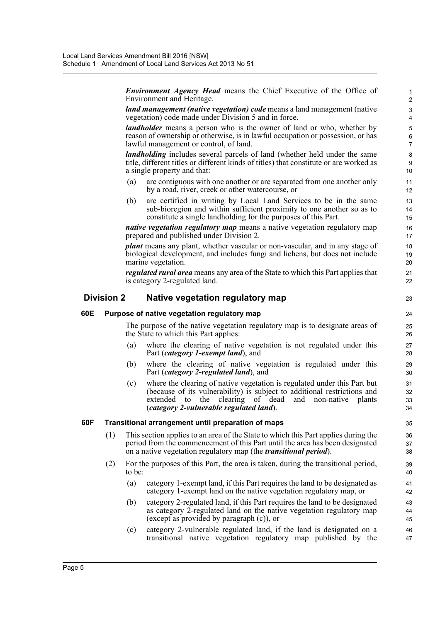*Environment Agency Head* means the Chief Executive of the Office of Environment and Heritage.

23

*land management (native vegetation) code* means a land management (native vegetation) code made under Division 5 and in force.

*landholder* means a person who is the owner of land or who, whether by reason of ownership or otherwise, is in lawful occupation or possession, or has lawful management or control, of land.

*landholding* includes several parcels of land (whether held under the same title, different titles or different kinds of titles) that constitute or are worked as a single property and that:

- (a) are contiguous with one another or are separated from one another only by a road, river, creek or other watercourse, or
- (b) are certified in writing by Local Land Services to be in the same sub-bioregion and within sufficient proximity to one another so as to constitute a single landholding for the purposes of this Part.

*native vegetation regulatory map* means a native vegetation regulatory map prepared and published under Division 2.

*plant* means any plant, whether vascular or non-vascular, and in any stage of biological development, and includes fungi and lichens, but does not include marine vegetation.

*regulated rural area* means any area of the State to which this Part applies that is category 2-regulated land.

#### **Division 2 Native vegetation regulatory map**

#### **60E Purpose of native vegetation regulatory map**

The purpose of the native vegetation regulatory map is to designate areas of the State to which this Part applies:

- (a) where the clearing of native vegetation is not regulated under this Part (*category 1-exempt land*), and
- (b) where the clearing of native vegetation is regulated under this Part (*category 2-regulated land*), and
- (c) where the clearing of native vegetation is regulated under this Part but (because of its vulnerability) is subject to additional restrictions and extended to the clearing of dead and non-native plants (*category 2-vulnerable regulated land*).

#### **60F Transitional arrangement until preparation of maps**

- (1) This section applies to an area of the State to which this Part applies during the period from the commencement of this Part until the area has been designated on a native vegetation regulatory map (the *transitional period*).
- (2) For the purposes of this Part, the area is taken, during the transitional period, to be:
	- (a) category 1-exempt land, if this Part requires the land to be designated as category 1-exempt land on the native vegetation regulatory map, or
	- (b) category 2-regulated land, if this Part requires the land to be designated as category 2-regulated land on the native vegetation regulatory map (except as provided by paragraph (c)), or
	- (c) category 2-vulnerable regulated land, if the land is designated on a transitional native vegetation regulatory map published by the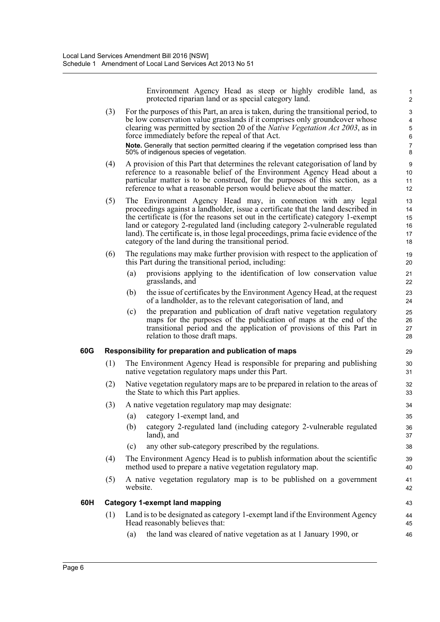Environment Agency Head as steep or highly erodible land, as protected riparian land or as special category land.

1

46

- (3) For the purposes of this Part, an area is taken, during the transitional period, to be low conservation value grasslands if it comprises only groundcover whose clearing was permitted by section 20 of the *Native Vegetation Act 2003*, as in force immediately before the repeal of that Act. **Note.** Generally that section permitted clearing if the vegetation comprised less than 50% of indigenous species of vegetation. (4) A provision of this Part that determines the relevant categorisation of land by reference to a reasonable belief of the Environment Agency Head about a particular matter is to be construed, for the purposes of this section, as a reference to what a reasonable person would believe about the matter. (5) The Environment Agency Head may, in connection with any legal proceedings against a landholder, issue a certificate that the land described in the certificate is (for the reasons set out in the certificate) category 1-exempt land or category 2-regulated land (including category 2-vulnerable regulated land). The certificate is, in those legal proceedings, prima facie evidence of the category of the land during the transitional period. (6) The regulations may make further provision with respect to the application of this Part during the transitional period, including: (a) provisions applying to the identification of low conservation value grasslands, and (b) the issue of certificates by the Environment Agency Head, at the request of a landholder, as to the relevant categorisation of land, and (c) the preparation and publication of draft native vegetation regulatory maps for the purposes of the publication of maps at the end of the transitional period and the application of provisions of this Part in relation to those draft maps. **60G Responsibility for preparation and publication of maps** (1) The Environment Agency Head is responsible for preparing and publishing native vegetation regulatory maps under this Part. (2) Native vegetation regulatory maps are to be prepared in relation to the areas of the State to which this Part applies. (3) A native vegetation regulatory map may designate: (a) category 1-exempt land, and (b) category 2-regulated land (including category 2-vulnerable regulated land), and (c) any other sub-category prescribed by the regulations. (4) The Environment Agency Head is to publish information about the scientific method used to prepare a native vegetation regulatory map. (5) A native vegetation regulatory map is to be published on a government website. **60H Category 1-exempt land mapping** (1) Land is to be designated as category 1-exempt land if the Environment Agency Head reasonably believes that: 2 3 4 5 6 7 8 9 10 11 12 13 14 15 16 17 18 19 20 21 22 23 24 25 26 27 28 29  $30$ 31 32 33 34 35 36 37 38 39 40 41 42 43 44 45
	- (a) the land was cleared of native vegetation as at 1 January 1990, or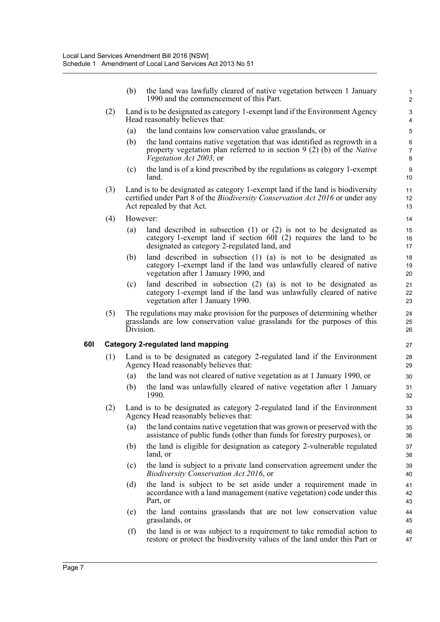(b) the land was lawfully cleared of native vegetation between 1 January 1990 and the commencement of this Part.

- (2) Land is to be designated as category 1-exempt land if the Environment Agency Head reasonably believes that:
	- (a) the land contains low conservation value grasslands, or
	- (b) the land contains native vegetation that was identified as regrowth in a property vegetation plan referred to in section 9 (2) (b) of the *Native Vegetation Act 2003,* or
	- (c) the land is of a kind prescribed by the regulations as category 1-exempt land.
- (3) Land is to be designated as category 1-exempt land if the land is biodiversity certified under Part 8 of the *Biodiversity Conservation Act 2016* or under any Act repealed by that Act.
- (4) However:
	- (a) land described in subsection (1) or (2) is not to be designated as category 1-exempt land if section 60I (2) requires the land to be designated as category 2-regulated land, and
	- (b) land described in subsection (1) (a) is not to be designated as category 1-exempt land if the land was unlawfully cleared of native vegetation after  $\overline{1}$  January 1990, and
	- (c) land described in subsection (2) (a) is not to be designated as category 1-exempt land if the land was unlawfully cleared of native vegetation after 1 January 1990.
- (5) The regulations may make provision for the purposes of determining whether grasslands are low conservation value grasslands for the purposes of this Division.

#### **60I Category 2-regulated land mapping**

- (1) Land is to be designated as category 2-regulated land if the Environment Agency Head reasonably believes that:
	- (a) the land was not cleared of native vegetation as at 1 January 1990, or
	- (b) the land was unlawfully cleared of native vegetation after 1 January 1990.
- (2) Land is to be designated as category 2-regulated land if the Environment Agency Head reasonably believes that:
	- (a) the land contains native vegetation that was grown or preserved with the assistance of public funds (other than funds for forestry purposes), or
	- (b) the land is eligible for designation as category 2-vulnerable regulated land, or
	- (c) the land is subject to a private land conservation agreement under the *Biodiversity Conservation Act 2016*, or
	- (d) the land is subject to be set aside under a requirement made in accordance with a land management (native vegetation) code under this Part, or
	- (e) the land contains grasslands that are not low conservation value grasslands, or
	- (f) the land is or was subject to a requirement to take remedial action to restore or protect the biodiversity values of the land under this Part or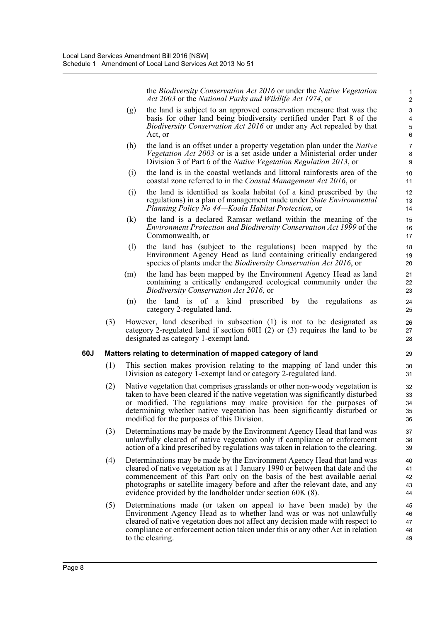the *Biodiversity Conservation Act 2016* or under the *Native Vegetation Act 2003* or the *National Parks and Wildlife Act 1974*, or

- (g) the land is subject to an approved conservation measure that was the basis for other land being biodiversity certified under Part 8 of the *Biodiversity Conservation Act 2016* or under any Act repealed by that Act, or
- (h) the land is an offset under a property vegetation plan under the *Native Vegetation Act 2003* or is a set aside under a Ministerial order under Division 3 of Part 6 of the *Native Vegetation Regulation 2013*, or
- (i) the land is in the coastal wetlands and littoral rainforests area of the coastal zone referred to in the *Coastal Management Act 2016*, or
- (j) the land is identified as koala habitat (of a kind prescribed by the regulations) in a plan of management made under *State Environmental Planning Policy No 44—Koala Habitat Protection*, or
- (k) the land is a declared Ramsar wetland within the meaning of the *Environment Protection and Biodiversity Conservation Act 1999* of the Commonwealth, or
- (l) the land has (subject to the regulations) been mapped by the Environment Agency Head as land containing critically endangered species of plants under the *Biodiversity Conservation Act 2016*, or
- (m) the land has been mapped by the Environment Agency Head as land containing a critically endangered ecological community under the *Biodiversity Conservation Act 2016*, or
- (n) the land is of a kind prescribed by the regulations as category 2-regulated land.
- (3) However, land described in subsection (1) is not to be designated as category 2-regulated land if section 60H (2) or (3) requires the land to be designated as category 1-exempt land.

#### **60J Matters relating to determination of mapped category of land**

- (1) This section makes provision relating to the mapping of land under this Division as category 1-exempt land or category 2-regulated land.
- (2) Native vegetation that comprises grasslands or other non-woody vegetation is taken to have been cleared if the native vegetation was significantly disturbed or modified. The regulations may make provision for the purposes of determining whether native vegetation has been significantly disturbed or modified for the purposes of this Division.
- (3) Determinations may be made by the Environment Agency Head that land was unlawfully cleared of native vegetation only if compliance or enforcement action of a kind prescribed by regulations was taken in relation to the clearing.
- (4) Determinations may be made by the Environment Agency Head that land was cleared of native vegetation as at 1 January 1990 or between that date and the commencement of this Part only on the basis of the best available aerial photographs or satellite imagery before and after the relevant date, and any evidence provided by the landholder under section 60K (8).
- (5) Determinations made (or taken on appeal to have been made) by the Environment Agency Head as to whether land was or was not unlawfully cleared of native vegetation does not affect any decision made with respect to compliance or enforcement action taken under this or any other Act in relation to the clearing.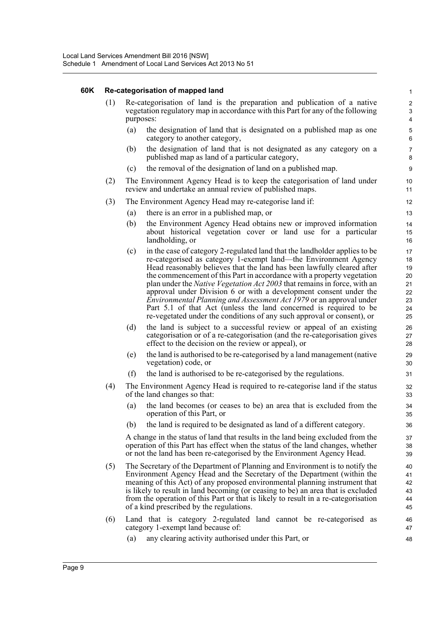#### **60K Re-categorisation of mapped land**

|     | Re-categorisation of mapped land                                                                                                                                                                                                                                                                                                                                                                                                                                                                                                                                                                                                                                                              | $\mathbf{1}$                                                    |
|-----|-----------------------------------------------------------------------------------------------------------------------------------------------------------------------------------------------------------------------------------------------------------------------------------------------------------------------------------------------------------------------------------------------------------------------------------------------------------------------------------------------------------------------------------------------------------------------------------------------------------------------------------------------------------------------------------------------|-----------------------------------------------------------------|
| (1) | Re-categorisation of land is the preparation and publication of a native<br>vegetation regulatory map in accordance with this Part for any of the following<br>purposes:                                                                                                                                                                                                                                                                                                                                                                                                                                                                                                                      | $\boldsymbol{2}$<br>$\ensuremath{\mathsf{3}}$<br>$\overline{4}$ |
|     | (a)<br>the designation of land that is designated on a published map as one<br>category to another category,                                                                                                                                                                                                                                                                                                                                                                                                                                                                                                                                                                                  | $\mathbf 5$<br>6                                                |
|     | the designation of land that is not designated as any category on a<br>(b)<br>published map as land of a particular category,                                                                                                                                                                                                                                                                                                                                                                                                                                                                                                                                                                 | $\overline{7}$<br>8                                             |
|     | the removal of the designation of land on a published map.<br>(c)                                                                                                                                                                                                                                                                                                                                                                                                                                                                                                                                                                                                                             | 9                                                               |
| (2) | The Environment Agency Head is to keep the categorisation of land under<br>review and undertake an annual review of published maps.                                                                                                                                                                                                                                                                                                                                                                                                                                                                                                                                                           | 10<br>11                                                        |
| (3) | The Environment Agency Head may re-categorise land if:                                                                                                                                                                                                                                                                                                                                                                                                                                                                                                                                                                                                                                        | 12                                                              |
|     | there is an error in a published map, or<br>(a)                                                                                                                                                                                                                                                                                                                                                                                                                                                                                                                                                                                                                                               | 13                                                              |
|     | (b)<br>the Environment Agency Head obtains new or improved information<br>about historical vegetation cover or land use for a particular<br>landholding, or                                                                                                                                                                                                                                                                                                                                                                                                                                                                                                                                   | 14<br>15<br>16                                                  |
|     | in the case of category 2-regulated land that the landholder applies to be<br>(c)<br>re-categorised as category 1-exempt land—the Environment Agency<br>Head reasonably believes that the land has been lawfully cleared after<br>the commencement of this Part in accordance with a property vegetation<br>plan under the <i>Native Vegetation Act 2003</i> that remains in force, with an<br>approval under Division 6 or with a development consent under the<br><i>Environmental Planning and Assessment Act 1979</i> or an approval under<br>Part 5.1 of that Act (unless the land concerned is required to be<br>re-vegetated under the conditions of any such approval or consent), or | 17<br>18<br>19<br>20<br>21<br>22<br>23<br>24<br>25              |
|     | the land is subject to a successful review or appeal of an existing<br>(d)<br>categorisation or of a re-categorisation (and the re-categorisation gives<br>effect to the decision on the review or appeal), or                                                                                                                                                                                                                                                                                                                                                                                                                                                                                | 26<br>27<br>28                                                  |
|     | the land is authorised to be re-categorised by a land management (native<br>(e)<br>vegetation) code, or                                                                                                                                                                                                                                                                                                                                                                                                                                                                                                                                                                                       | 29<br>30                                                        |
|     | (f)<br>the land is authorised to be re-categorised by the regulations.                                                                                                                                                                                                                                                                                                                                                                                                                                                                                                                                                                                                                        | 31                                                              |
| (4) | The Environment Agency Head is required to re-categorise land if the status<br>of the land changes so that:                                                                                                                                                                                                                                                                                                                                                                                                                                                                                                                                                                                   | 32<br>33                                                        |
|     | the land becomes (or ceases to be) an area that is excluded from the<br>(a)<br>operation of this Part, or                                                                                                                                                                                                                                                                                                                                                                                                                                                                                                                                                                                     | 34<br>35                                                        |
|     | the land is required to be designated as land of a different category.<br>(b)                                                                                                                                                                                                                                                                                                                                                                                                                                                                                                                                                                                                                 | 36                                                              |
|     | A change in the status of land that results in the land being excluded from the<br>operation of this Part has effect when the status of the land changes, whether<br>or not the land has been re-categorised by the Environment Agency Head.                                                                                                                                                                                                                                                                                                                                                                                                                                                  | 37<br>38<br>39                                                  |
| (5) | The Secretary of the Department of Planning and Environment is to notify the<br>Environment Agency Head and the Secretary of the Department (within the<br>meaning of this Act) of any proposed environmental planning instrument that<br>is likely to result in land becoming (or ceasing to be) an area that is excluded<br>from the operation of this Part or that is likely to result in a re-categorisation<br>of a kind prescribed by the regulations.                                                                                                                                                                                                                                  | 40<br>41<br>42<br>43<br>44<br>45                                |
| (6) | Land that is category 2-regulated land cannot be re-categorised as<br>category 1-exempt land because of:                                                                                                                                                                                                                                                                                                                                                                                                                                                                                                                                                                                      | 46<br>47                                                        |
|     | any clearing activity authorised under this Part, or<br>(a)                                                                                                                                                                                                                                                                                                                                                                                                                                                                                                                                                                                                                                   | 48                                                              |

(a) any clearing activity authorised under this Part, or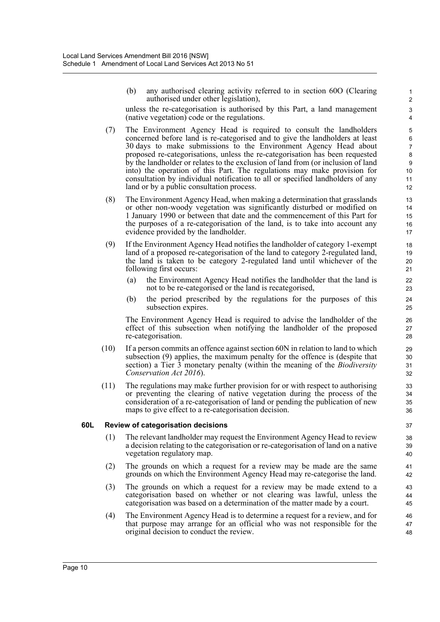(b) any authorised clearing activity referred to in section 60O (Clearing authorised under other legislation),

unless the re-categorisation is authorised by this Part, a land management (native vegetation) code or the regulations.

- (7) The Environment Agency Head is required to consult the landholders concerned before land is re-categorised and to give the landholders at least 30 days to make submissions to the Environment Agency Head about proposed re-categorisations, unless the re-categorisation has been requested by the landholder or relates to the exclusion of land from (or inclusion of land into) the operation of this Part. The regulations may make provision for consultation by individual notification to all or specified landholders of any land or by a public consultation process.
- (8) The Environment Agency Head, when making a determination that grasslands or other non-woody vegetation was significantly disturbed or modified on 1 January 1990 or between that date and the commencement of this Part for the purposes of a re-categorisation of the land, is to take into account any evidence provided by the landholder.
- (9) If the Environment Agency Head notifies the landholder of category 1-exempt land of a proposed re-categorisation of the land to category 2-regulated land, the land is taken to be category 2-regulated land until whichever of the following first occurs:
	- (a) the Environment Agency Head notifies the landholder that the land is not to be re-categorised or the land is recategorised,
	- (b) the period prescribed by the regulations for the purposes of this subsection expires.

The Environment Agency Head is required to advise the landholder of the effect of this subsection when notifying the landholder of the proposed re-categorisation.

- (10) If a person commits an offence against section 60N in relation to land to which subsection (9) applies, the maximum penalty for the offence is (despite that section) a Tier 3 monetary penalty (within the meaning of the *Biodiversity Conservation Act 2016*).
- (11) The regulations may make further provision for or with respect to authorising or preventing the clearing of native vegetation during the process of the consideration of a re-categorisation of land or pending the publication of new maps to give effect to a re-categorisation decision.

#### **60L Review of categorisation decisions**

- (1) The relevant landholder may request the Environment Agency Head to review a decision relating to the categorisation or re-categorisation of land on a native vegetation regulatory map.
- (2) The grounds on which a request for a review may be made are the same grounds on which the Environment Agency Head may re-categorise the land.
- (3) The grounds on which a request for a review may be made extend to a categorisation based on whether or not clearing was lawful, unless the categorisation was based on a determination of the matter made by a court.
- (4) The Environment Agency Head is to determine a request for a review, and for that purpose may arrange for an official who was not responsible for the original decision to conduct the review.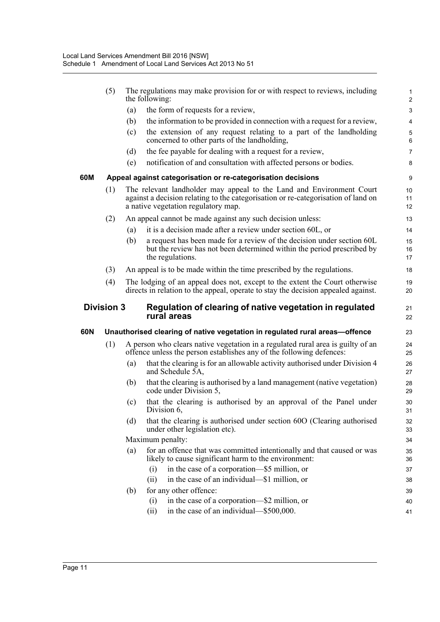|     | (5)                                                                                          |     | The regulations may make provision for or with respect to reviews, including<br>the following:                                                                                                   | $\mathbf{1}$<br>$\overline{c}$   |
|-----|----------------------------------------------------------------------------------------------|-----|--------------------------------------------------------------------------------------------------------------------------------------------------------------------------------------------------|----------------------------------|
|     |                                                                                              | (a) | the form of requests for a review,                                                                                                                                                               | 3                                |
|     |                                                                                              | (b) | the information to be provided in connection with a request for a review,                                                                                                                        | 4                                |
|     |                                                                                              | (c) | the extension of any request relating to a part of the landholding<br>concerned to other parts of the landholding,                                                                               | $\overline{5}$<br>$6\phantom{1}$ |
|     |                                                                                              | (d) | the fee payable for dealing with a request for a review,                                                                                                                                         | $\overline{7}$                   |
|     |                                                                                              | (e) | notification of and consultation with affected persons or bodies.                                                                                                                                | 8                                |
| 60M |                                                                                              |     | Appeal against categorisation or re-categorisation decisions                                                                                                                                     | 9                                |
|     | (1)                                                                                          |     | The relevant landholder may appeal to the Land and Environment Court<br>against a decision relating to the categorisation or re-categorisation of land on<br>a native vegetation regulatory map. | 10<br>11<br>12                   |
|     | (2)                                                                                          |     | An appeal cannot be made against any such decision unless:                                                                                                                                       | 13                               |
|     |                                                                                              | (a) | it is a decision made after a review under section 60L, or                                                                                                                                       | 14                               |
|     |                                                                                              | (b) | a request has been made for a review of the decision under section 60L<br>but the review has not been determined within the period prescribed by<br>the regulations.                             | 15<br>16<br>17                   |
|     | (3)                                                                                          |     | An appeal is to be made within the time prescribed by the regulations.                                                                                                                           | 18                               |
|     | (4)                                                                                          |     | The lodging of an appeal does not, except to the extent the Court otherwise<br>directs in relation to the appeal, operate to stay the decision appealed against.                                 | 19<br>20                         |
|     | <b>Division 3</b><br>Regulation of clearing of native vegetation in regulated<br>rural areas |     |                                                                                                                                                                                                  |                                  |
|     |                                                                                              |     |                                                                                                                                                                                                  | 21<br>22                         |
| 60N |                                                                                              |     | Unauthorised clearing of native vegetation in regulated rural areas-offence                                                                                                                      | 23                               |
|     | (1)                                                                                          |     | A person who clears native vegetation in a regulated rural area is guilty of an<br>offence unless the person establishes any of the following defences:                                          | 24<br>25                         |
|     |                                                                                              | (a) | that the clearing is for an allowable activity authorised under Division 4<br>and Schedule 5A,                                                                                                   | 26<br>27                         |
|     |                                                                                              | (b) | that the clearing is authorised by a land management (native vegetation)<br>code under Division 5,                                                                                               | 28<br>29                         |
|     |                                                                                              | (c) | that the clearing is authorised by an approval of the Panel under<br>Division 6,                                                                                                                 | 30<br>31                         |
|     |                                                                                              | (d) | that the clearing is authorised under section 60O (Clearing authorised<br>under other legislation etc).                                                                                          | 32<br>33                         |
|     |                                                                                              |     | Maximum penalty:                                                                                                                                                                                 | 34                               |
|     |                                                                                              | (a) | for an offence that was committed intentionally and that caused or was<br>likely to cause significant harm to the environment:                                                                   | 35<br>36                         |
|     |                                                                                              |     | in the case of a corporation—\$5 million, or<br>(i)                                                                                                                                              | 37                               |
|     |                                                                                              |     | in the case of an individual—\$1 million, or<br>(ii)                                                                                                                                             | 38                               |
|     |                                                                                              | (b) | for any other offence:<br>in the case of a corporation—\$2 million, or<br>(i)                                                                                                                    | 39<br>40                         |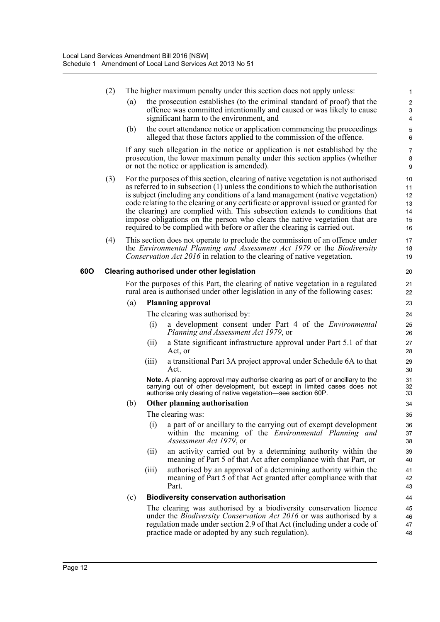|     | (2) |       | The higher maximum penalty under this section does not apply unless:                                                                                                                                                                                                                                                                                                                                                                                                                                                                                                                      | 1                                      |
|-----|-----|-------|-------------------------------------------------------------------------------------------------------------------------------------------------------------------------------------------------------------------------------------------------------------------------------------------------------------------------------------------------------------------------------------------------------------------------------------------------------------------------------------------------------------------------------------------------------------------------------------------|----------------------------------------|
|     |     | (a)   | the prosecution establishes (to the criminal standard of proof) that the<br>offence was committed intentionally and caused or was likely to cause<br>significant harm to the environment, and                                                                                                                                                                                                                                                                                                                                                                                             | $\overline{2}$<br>3<br>$\overline{4}$  |
|     |     | (b)   | the court attendance notice or application commencing the proceedings<br>alleged that those factors applied to the commission of the offence.                                                                                                                                                                                                                                                                                                                                                                                                                                             | $\overline{5}$<br>6                    |
|     |     |       | If any such allegation in the notice or application is not established by the<br>prosecution, the lower maximum penalty under this section applies (whether<br>or not the notice or application is amended).                                                                                                                                                                                                                                                                                                                                                                              | 7<br>8<br>9                            |
|     | (3) |       | For the purposes of this section, clearing of native vegetation is not authorised<br>as referred to in subsection $(1)$ unless the conditions to which the authorisation<br>is subject (including any conditions of a land management (native vegetation)<br>code relating to the clearing or any certificate or approval issued or granted for<br>the clearing) are complied with. This subsection extends to conditions that<br>impose obligations on the person who clears the native vegetation that are<br>required to be complied with before or after the clearing is carried out. | 10<br>11<br>12<br>13<br>14<br>15<br>16 |
|     | (4) |       | This section does not operate to preclude the commission of an offence under<br>the Environmental Planning and Assessment Act 1979 or the Biodiversity<br>Conservation Act 2016 in relation to the clearing of native vegetation.                                                                                                                                                                                                                                                                                                                                                         | 17<br>18<br>19                         |
| 60O |     |       | Clearing authorised under other legislation                                                                                                                                                                                                                                                                                                                                                                                                                                                                                                                                               | 20                                     |
|     |     |       | For the purposes of this Part, the clearing of native vegetation in a regulated<br>rural area is authorised under other legislation in any of the following cases:                                                                                                                                                                                                                                                                                                                                                                                                                        | 21<br>22                               |
|     |     | (a)   | <b>Planning approval</b>                                                                                                                                                                                                                                                                                                                                                                                                                                                                                                                                                                  | 23                                     |
|     |     |       | The clearing was authorised by:                                                                                                                                                                                                                                                                                                                                                                                                                                                                                                                                                           | 24                                     |
|     |     | (i)   | a development consent under Part 4 of the <i>Environmental</i><br>Planning and Assessment Act 1979, or                                                                                                                                                                                                                                                                                                                                                                                                                                                                                    | 25<br>26                               |
|     |     | (ii)  | a State significant infrastructure approval under Part 5.1 of that<br>Act, or                                                                                                                                                                                                                                                                                                                                                                                                                                                                                                             | 27<br>28                               |
|     |     | (iii) | a transitional Part 3A project approval under Schedule 6A to that<br>Act.                                                                                                                                                                                                                                                                                                                                                                                                                                                                                                                 | 29<br>30                               |
|     |     |       | Note. A planning approval may authorise clearing as part of or ancillary to the<br>carrying out of other development, but except in limited cases does not<br>authorise only clearing of native vegetation—see section 60P.                                                                                                                                                                                                                                                                                                                                                               | 31<br>32<br>33                         |
|     |     | (b)   | Other planning authorisation                                                                                                                                                                                                                                                                                                                                                                                                                                                                                                                                                              | 34                                     |
|     |     |       | The clearing was:                                                                                                                                                                                                                                                                                                                                                                                                                                                                                                                                                                         | 35                                     |
|     |     | (i)   | a part of or ancillary to the carrying out of exempt development<br>within the meaning of the <i>Environmental Planning and</i><br>Assessment Act 1979, or                                                                                                                                                                                                                                                                                                                                                                                                                                | 36<br>37<br>38                         |
|     |     | (ii)  | an activity carried out by a determining authority within the<br>meaning of Part 5 of that Act after compliance with that Part, or                                                                                                                                                                                                                                                                                                                                                                                                                                                        | 39<br>40                               |
|     |     | (iii) | authorised by an approval of a determining authority within the<br>meaning of Part 5 of that Act granted after compliance with that<br>Part.                                                                                                                                                                                                                                                                                                                                                                                                                                              | 41<br>42<br>43                         |
|     |     | (c)   | <b>Biodiversity conservation authorisation</b>                                                                                                                                                                                                                                                                                                                                                                                                                                                                                                                                            | 44                                     |
|     |     |       | The clearing was authorised by a biodiversity conservation licence                                                                                                                                                                                                                                                                                                                                                                                                                                                                                                                        | 45                                     |
|     |     |       | under the <i>Biodiversity Conservation Act 2016</i> or was authorised by a<br>regulation made under section 2.9 of that Act (including under a code of<br>practice made or adopted by any such regulation).                                                                                                                                                                                                                                                                                                                                                                               | 46<br>47<br>48                         |
|     |     |       |                                                                                                                                                                                                                                                                                                                                                                                                                                                                                                                                                                                           |                                        |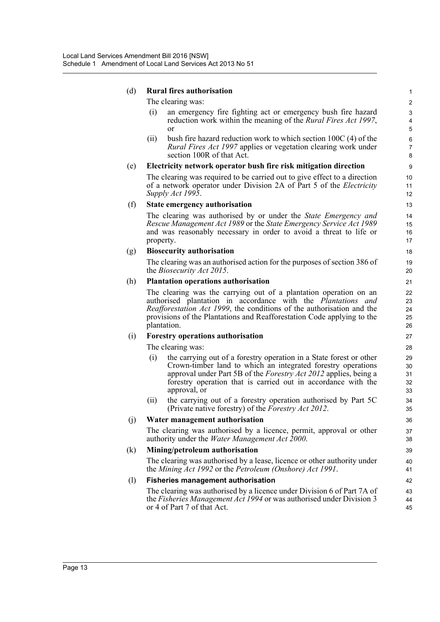#### (d) **Rural fires authorisation**

The clearing was:

(i) an emergency fire fighting act or emergency bush fire hazard reduction work within the meaning of the *Rural Fires Act 1997*, or

(ii) bush fire hazard reduction work to which section 100C (4) of the *Rural Fires Act 1997* applies or vegetation clearing work under section 100R of that Act.

#### (e) **Electricity network operator bush fire risk mitigation direction**

The clearing was required to be carried out to give effect to a direction of a network operator under Division 2A of Part 5 of the *Electricity Supply Act 1995*.

#### (f) **State emergency authorisation**

The clearing was authorised by or under the *State Emergency and Rescue Management Act 1989* or the *State Emergency Service Act 1989* and was reasonably necessary in order to avoid a threat to life or property.

#### (g) **Biosecurity authorisation**

The clearing was an authorised action for the purposes of section 386 of the *Biosecurity Act 2015*.

#### (h) **Plantation operations authorisation**

The clearing was the carrying out of a plantation operation on an authorised plantation in accordance with the *Plantations and Reafforestation Act 1999*, the conditions of the authorisation and the provisions of the Plantations and Reafforestation Code applying to the plantation.

#### (i) **Forestry operations authorisation**

The clearing was:

- (i) the carrying out of a forestry operation in a State forest or other Crown-timber land to which an integrated forestry operations approval under Part 5B of the *Forestry Act 2012* applies, being a forestry operation that is carried out in accordance with the approval, or
- (ii) the carrying out of a forestry operation authorised by Part 5C (Private native forestry) of the *Forestry Act 2012*.

#### (j) **Water management authorisation**

The clearing was authorised by a licence, permit, approval or other authority under the *Water Management Act 2000*.

#### (k) **Mining/petroleum authorisation**

The clearing was authorised by a lease, licence or other authority under the *Mining Act 1992* or the *Petroleum (Onshore) Act 1991*.

#### (l) **Fisheries management authorisation**

The clearing was authorised by a licence under Division 6 of Part 7A of the *Fisheries Management Act 1994* or was authorised under Division 3 or 4 of Part 7 of that Act.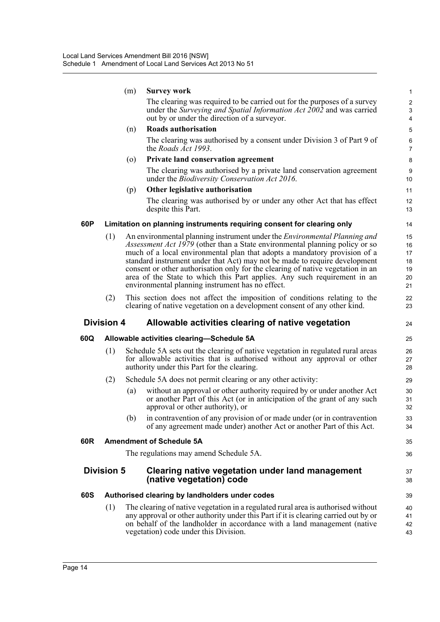|     |                   | (m)                | <b>Survey work</b>                                                                                                                                                                                                                                                                                                                                                                                                                                                                                                                                   | 1                                      |
|-----|-------------------|--------------------|------------------------------------------------------------------------------------------------------------------------------------------------------------------------------------------------------------------------------------------------------------------------------------------------------------------------------------------------------------------------------------------------------------------------------------------------------------------------------------------------------------------------------------------------------|----------------------------------------|
|     |                   |                    | The clearing was required to be carried out for the purposes of a survey<br>under the Surveying and Spatial Information Act 2002 and was carried<br>out by or under the direction of a surveyor.                                                                                                                                                                                                                                                                                                                                                     | $\boldsymbol{2}$<br>3<br>4             |
|     |                   | (n)                | Roads authorisation                                                                                                                                                                                                                                                                                                                                                                                                                                                                                                                                  | 5                                      |
|     |                   |                    | The clearing was authorised by a consent under Division 3 of Part 9 of<br>the <i>Roads Act 1993</i> .                                                                                                                                                                                                                                                                                                                                                                                                                                                | 6<br>$\overline{7}$                    |
|     |                   | $\left( 0 \right)$ | <b>Private land conservation agreement</b>                                                                                                                                                                                                                                                                                                                                                                                                                                                                                                           | 8                                      |
|     |                   |                    | The clearing was authorised by a private land conservation agreement<br>under the <i>Biodiversity Conservation Act 2016</i> .                                                                                                                                                                                                                                                                                                                                                                                                                        | 9<br>10                                |
|     |                   | (p)                | Other legislative authorisation                                                                                                                                                                                                                                                                                                                                                                                                                                                                                                                      | 11                                     |
|     |                   |                    | The clearing was authorised by or under any other Act that has effect<br>despite this Part.                                                                                                                                                                                                                                                                                                                                                                                                                                                          | 12<br>13                               |
| 60P |                   |                    | Limitation on planning instruments requiring consent for clearing only                                                                                                                                                                                                                                                                                                                                                                                                                                                                               | 14                                     |
|     | (1)               |                    | An environmental planning instrument under the <i>Environmental Planning and</i><br><i>Assessment Act 1979</i> (other than a State environmental planning policy or so<br>much of a local environmental plan that adopts a mandatory provision of a<br>standard instrument under that Act) may not be made to require development<br>consent or other authorisation only for the clearing of native vegetation in an<br>area of the State to which this Part applies. Any such requirement in an<br>environmental planning instrument has no effect. | 15<br>16<br>17<br>18<br>19<br>20<br>21 |
|     | (2)               |                    | This section does not affect the imposition of conditions relating to the<br>clearing of native vegetation on a development consent of any other kind.                                                                                                                                                                                                                                                                                                                                                                                               | 22<br>23                               |
|     | <b>Division 4</b> |                    | Allowable activities clearing of native vegetation                                                                                                                                                                                                                                                                                                                                                                                                                                                                                                   | 24                                     |
| 60Q |                   |                    | Allowable activities clearing-Schedule 5A                                                                                                                                                                                                                                                                                                                                                                                                                                                                                                            | 25                                     |
|     |                   |                    |                                                                                                                                                                                                                                                                                                                                                                                                                                                                                                                                                      |                                        |
|     | (1)               |                    | Schedule 5A sets out the clearing of native vegetation in regulated rural areas<br>for allowable activities that is authorised without any approval or other<br>authority under this Part for the clearing.                                                                                                                                                                                                                                                                                                                                          | 26<br>27<br>28                         |
|     |                   |                    | Schedule 5A does not permit clearing or any other activity:                                                                                                                                                                                                                                                                                                                                                                                                                                                                                          | 29                                     |
|     | (2)               | (a)                | without an approval or other authority required by or under another Act<br>or another Part of this Act (or in anticipation of the grant of any such<br>approval or other authority), or                                                                                                                                                                                                                                                                                                                                                              | 30<br>31<br>32                         |
|     |                   | (b)                | in contravention of any provision of or made under (or in contravention<br>of any agreement made under) another Act or another Part of this Act.                                                                                                                                                                                                                                                                                                                                                                                                     | 33<br>34                               |
| 60R |                   |                    | <b>Amendment of Schedule 5A</b>                                                                                                                                                                                                                                                                                                                                                                                                                                                                                                                      | 35                                     |
|     |                   |                    | The regulations may amend Schedule 5A.                                                                                                                                                                                                                                                                                                                                                                                                                                                                                                               | 36                                     |
|     | <b>Division 5</b> |                    | <b>Clearing native vegetation under land management</b><br>(native vegetation) code                                                                                                                                                                                                                                                                                                                                                                                                                                                                  | 37<br>38                               |
| 60S |                   |                    | Authorised clearing by landholders under codes                                                                                                                                                                                                                                                                                                                                                                                                                                                                                                       | 39                                     |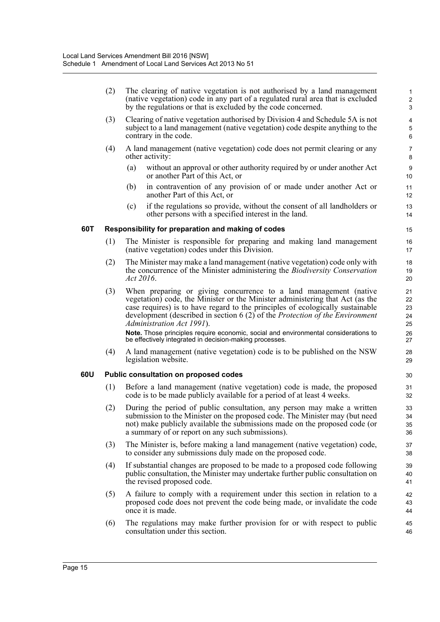(2) The clearing of native vegetation is not authorised by a land management (native vegetation) code in any part of a regulated rural area that is excluded by the regulations or that is excluded by the code concerned.

- (3) Clearing of native vegetation authorised by Division 4 and Schedule 5A is not subject to a land management (native vegetation) code despite anything to the contrary in the code.
- (4) A land management (native vegetation) code does not permit clearing or any other activity:
	- (a) without an approval or other authority required by or under another Act or another Part of this Act, or
	- (b) in contravention of any provision of or made under another Act or another Part of this Act, or
	- (c) if the regulations so provide, without the consent of all landholders or other persons with a specified interest in the land.

#### **60T Responsibility for preparation and making of codes**

- (1) The Minister is responsible for preparing and making land management (native vegetation) codes under this Division.
- (2) The Minister may make a land management (native vegetation) code only with the concurrence of the Minister administering the *Biodiversity Conservation Act 2016*.
- (3) When preparing or giving concurrence to a land management (native vegetation) code, the Minister or the Minister administering that Act (as the case requires) is to have regard to the principles of ecologically sustainable development (described in section 6 (2) of the *Protection of the Environment Administration Act 1991*).

**Note.** Those principles require economic, social and environmental considerations to be effectively integrated in decision-making processes.

(4) A land management (native vegetation) code is to be published on the NSW legislation website.

#### **60U Public consultation on proposed codes**

- (1) Before a land management (native vegetation) code is made, the proposed code is to be made publicly available for a period of at least 4 weeks.
- (2) During the period of public consultation, any person may make a written submission to the Minister on the proposed code. The Minister may (but need not) make publicly available the submissions made on the proposed code (or a summary of or report on any such submissions).
- (3) The Minister is, before making a land management (native vegetation) code, to consider any submissions duly made on the proposed code.
- (4) If substantial changes are proposed to be made to a proposed code following public consultation, the Minister may undertake further public consultation on the revised proposed code.
- (5) A failure to comply with a requirement under this section in relation to a proposed code does not prevent the code being made, or invalidate the code once it is made.
- (6) The regulations may make further provision for or with respect to public consultation under this section.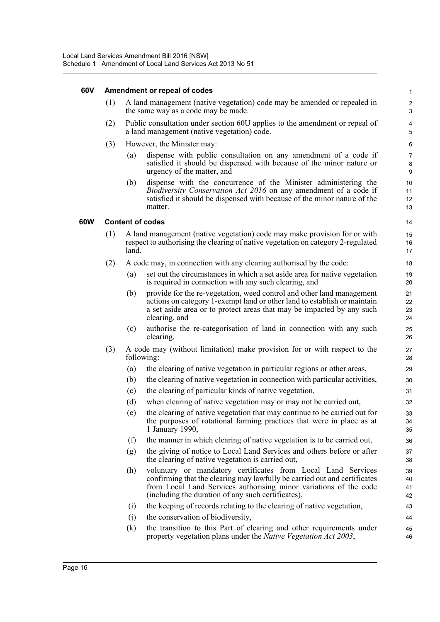#### **60V Amendment or repeal of codes**

(1) A land management (native vegetation) code may be amended or repealed in the same way as a code may be made.

- (2) Public consultation under section 60U applies to the amendment or repeal of a land management (native vegetation) code.
- (3) However, the Minister may:
	- (a) dispense with public consultation on any amendment of a code if satisfied it should be dispensed with because of the minor nature or urgency of the matter, and
	- (b) dispense with the concurrence of the Minister administering the *Biodiversity Conservation Act 2016* on any amendment of a code if satisfied it should be dispensed with because of the minor nature of the matter.

#### **60W Content of codes**

- (1) A land management (native vegetation) code may make provision for or with respect to authorising the clearing of native vegetation on category 2-regulated land.
- (2) A code may, in connection with any clearing authorised by the code:
	- (a) set out the circumstances in which a set aside area for native vegetation is required in connection with any such clearing, and
	- (b) provide for the re-vegetation, weed control and other land management actions on category 1-exempt land or other land to establish or maintain a set aside area or to protect areas that may be impacted by any such clearing, and
	- (c) authorise the re-categorisation of land in connection with any such clearing.
- (3) A code may (without limitation) make provision for or with respect to the following:
	- (a) the clearing of native vegetation in particular regions or other areas,
	- (b) the clearing of native vegetation in connection with particular activities,
	- (c) the clearing of particular kinds of native vegetation,
	- (d) when clearing of native vegetation may or may not be carried out,
	- (e) the clearing of native vegetation that may continue to be carried out for the purposes of rotational farming practices that were in place as at 1 January 1990,
	- (f) the manner in which clearing of native vegetation is to be carried out,
	- (g) the giving of notice to Local Land Services and others before or after the clearing of native vegetation is carried out,
	- (h) voluntary or mandatory certificates from Local Land Services confirming that the clearing may lawfully be carried out and certificates from Local Land Services authorising minor variations of the code (including the duration of any such certificates),
	- (i) the keeping of records relating to the clearing of native vegetation,
	- (j) the conservation of biodiversity,
	- (k) the transition to this Part of clearing and other requirements under property vegetation plans under the *Native Vegetation Act 2003*,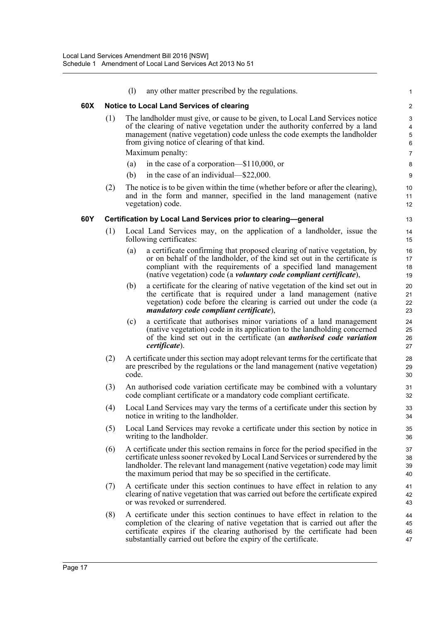|     |     | (1)   | any other matter prescribed by the regulations.                                                                                                                                                                                                                                                                       | 1                     |
|-----|-----|-------|-----------------------------------------------------------------------------------------------------------------------------------------------------------------------------------------------------------------------------------------------------------------------------------------------------------------------|-----------------------|
| 60X |     |       | <b>Notice to Local Land Services of clearing</b>                                                                                                                                                                                                                                                                      | $\overline{c}$        |
|     | (1) |       | The landholder must give, or cause to be given, to Local Land Services notice<br>of the clearing of native vegetation under the authority conferred by a land<br>management (native vegetation) code unless the code exempts the landholder<br>from giving notice of clearing of that kind.<br>Maximum penalty:       | 3<br>4<br>5<br>6<br>7 |
|     |     | (a)   | in the case of a corporation—\$110,000, or                                                                                                                                                                                                                                                                            | 8                     |
|     |     | (b)   | in the case of an individual—\$22,000.                                                                                                                                                                                                                                                                                | 9                     |
|     | (2) |       | The notice is to be given within the time (whether before or after the clearing),<br>and in the form and manner, specified in the land management (native<br>vegetation) code.                                                                                                                                        | 10<br>11<br>12        |
| 60Y |     |       | Certification by Local Land Services prior to clearing-general                                                                                                                                                                                                                                                        | 13                    |
|     | (1) |       | Local Land Services may, on the application of a landholder, issue the<br>following certificates:                                                                                                                                                                                                                     | 14<br>15              |
|     |     | (a)   | a certificate confirming that proposed clearing of native vegetation, by<br>or on behalf of the landholder, of the kind set out in the certificate is<br>compliant with the requirements of a specified land management<br>(native vegetation) code (a <i>voluntary code compliant certificate</i> ),                 | 16<br>17<br>18<br>19  |
|     |     | (b)   | a certificate for the clearing of native vegetation of the kind set out in<br>the certificate that is required under a land management (native<br>vegetation) code before the clearing is carried out under the code (a<br>mandatory code compliant certificate),                                                     | 20<br>21<br>22<br>23  |
|     |     | (c)   | a certificate that authorises minor variations of a land management<br>(native vegetation) code in its application to the landholding concerned<br>of the kind set out in the certificate (an <i>authorised code variation</i><br>certificate).                                                                       | 24<br>25<br>26<br>27  |
|     | (2) | code. | A certificate under this section may adopt relevant terms for the certificate that<br>are prescribed by the regulations or the land management (native vegetation)                                                                                                                                                    | 28<br>29<br>30        |
|     | (3) |       | An authorised code variation certificate may be combined with a voluntary<br>code compliant certificate or a mandatory code compliant certificate.                                                                                                                                                                    | 31<br>32              |
|     | (4) |       | Local Land Services may vary the terms of a certificate under this section by<br>notice in writing to the landholder.                                                                                                                                                                                                 | 33<br>34              |
|     | (5) |       | Local Land Services may revoke a certificate under this section by notice in<br>writing to the landholder.                                                                                                                                                                                                            | 35<br>36              |
|     | (6) |       | A certificate under this section remains in force for the period specified in the<br>certificate unless sooner revoked by Local Land Services or surrendered by the<br>landholder. The relevant land management (native vegetation) code may limit<br>the maximum period that may be so specified in the certificate. | 37<br>38<br>39<br>40  |
|     | (7) |       | A certificate under this section continues to have effect in relation to any<br>clearing of native vegetation that was carried out before the certificate expired<br>or was revoked or surrendered.                                                                                                                   | 41<br>42<br>43        |
|     | (8) |       | A certificate under this section continues to have effect in relation to the<br>completion of the clearing of native vegetation that is carried out after the<br>certificate expires if the clearing authorised by the certificate had been<br>substantially carried out before the expiry of the certificate.        | 44<br>45<br>46<br>47  |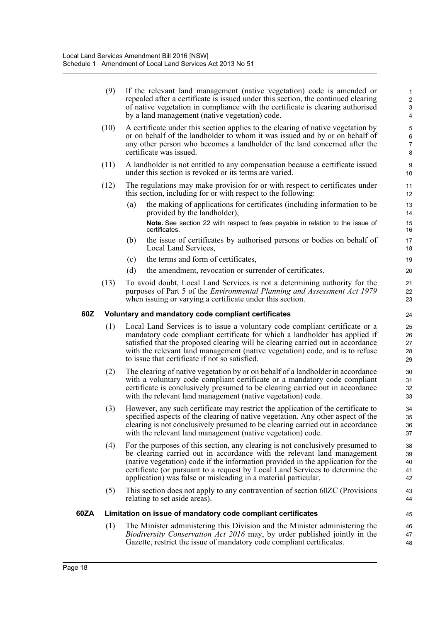|      | (9)  | If the relevant land management (native vegetation) code is amended or<br>repealed after a certificate is issued under this section, the continued clearing<br>of native vegetation in compliance with the certificate is clearing authorised<br>by a land management (native vegetation) code.                                                                                                 | $\mathbf{1}$<br>$\overline{c}$<br>3<br>$\overline{\mathbf{4}}$ |
|------|------|-------------------------------------------------------------------------------------------------------------------------------------------------------------------------------------------------------------------------------------------------------------------------------------------------------------------------------------------------------------------------------------------------|----------------------------------------------------------------|
|      | (10) | A certificate under this section applies to the clearing of native vegetation by<br>or on behalf of the landholder to whom it was issued and by or on behalf of<br>any other person who becomes a landholder of the land concerned after the<br>certificate was issued.                                                                                                                         | 5<br>$\,6\,$<br>$\overline{7}$<br>8                            |
|      | (11) | A landholder is not entitled to any compensation because a certificate issued<br>under this section is revoked or its terms are varied.                                                                                                                                                                                                                                                         | $\boldsymbol{9}$<br>10                                         |
|      | (12) | The regulations may make provision for or with respect to certificates under<br>this section, including for or with respect to the following:                                                                                                                                                                                                                                                   | 11<br>12                                                       |
|      |      | the making of applications for certificates (including information to be<br>(a)<br>provided by the landholder),                                                                                                                                                                                                                                                                                 | 13<br>14                                                       |
|      |      | Note. See section 22 with respect to fees payable in relation to the issue of<br>certificates.                                                                                                                                                                                                                                                                                                  | 15<br>16                                                       |
|      |      | the issue of certificates by authorised persons or bodies on behalf of<br>(b)<br>Local Land Services,                                                                                                                                                                                                                                                                                           | 17<br>18                                                       |
|      |      | the terms and form of certificates,<br>(c)                                                                                                                                                                                                                                                                                                                                                      | 19                                                             |
|      |      | (d)<br>the amendment, revocation or surrender of certificates.                                                                                                                                                                                                                                                                                                                                  | 20                                                             |
|      | (13) | To avoid doubt, Local Land Services is not a determining authority for the<br>purposes of Part 5 of the <i>Environmental Planning and Assessment Act 1979</i><br>when issuing or varying a certificate under this section.                                                                                                                                                                      | 21<br>22<br>23                                                 |
| 60Z  |      | Voluntary and mandatory code compliant certificates                                                                                                                                                                                                                                                                                                                                             | 24                                                             |
|      | (1)  | Local Land Services is to issue a voluntary code compliant certificate or a<br>mandatory code compliant certificate for which a landholder has applied if<br>satisfied that the proposed clearing will be clearing carried out in accordance<br>with the relevant land management (native vegetation) code, and is to refuse<br>to issue that certificate if not so satisfied.                  | 25<br>26<br>27<br>28<br>29                                     |
|      | (2)  | The clearing of native vegetation by or on behalf of a landholder in accordance<br>with a voluntary code compliant certificate or a mandatory code compliant<br>certificate is conclusively presumed to be clearing carried out in accordance<br>with the relevant land management (native vegetation) code.                                                                                    | 30<br>31<br>32<br>33                                           |
|      | (3)  | However, any such certificate may restrict the application of the certificate to<br>specified aspects of the clearing of native vegetation. Any other aspect of the<br>clearing is not conclusively presumed to be clearing carried out in accordance<br>with the relevant land management (native vegetation) code.                                                                            | 34<br>35<br>36<br>37                                           |
|      | (4)  | For the purposes of this section, any clearing is not conclusively presumed to<br>be clearing carried out in accordance with the relevant land management<br>(native vegetation) code if the information provided in the application for the<br>certificate (or pursuant to a request by Local Land Services to determine the<br>application) was false or misleading in a material particular. | 38<br>39<br>40<br>41<br>42                                     |
|      | (5)  | This section does not apply to any contravention of section 60ZC (Provisions<br>relating to set aside areas).                                                                                                                                                                                                                                                                                   | 43<br>44                                                       |
| 60ZA |      | Limitation on issue of mandatory code compliant certificates                                                                                                                                                                                                                                                                                                                                    | 45                                                             |
|      | (1)  | The Minister administering this Division and the Minister administering the<br>Biodiversity Conservation Act 2016 may, by order published jointly in the<br>Gazette, restrict the issue of mandatory code compliant certificates.                                                                                                                                                               | 46<br>47<br>48                                                 |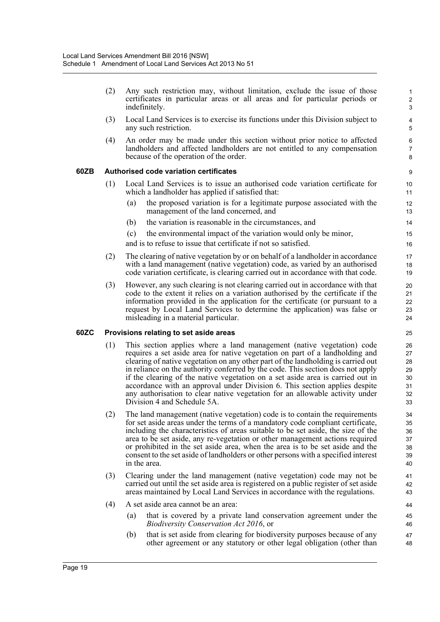(2) Any such restriction may, without limitation, exclude the issue of those certificates in particular areas or all areas and for particular periods or indefinitely.

- (3) Local Land Services is to exercise its functions under this Division subject to any such restriction.
- (4) An order may be made under this section without prior notice to affected landholders and affected landholders are not entitled to any compensation because of the operation of the order.

#### **60ZB Authorised code variation certificates**

- (1) Local Land Services is to issue an authorised code variation certificate for which a landholder has applied if satisfied that:
	- (a) the proposed variation is for a legitimate purpose associated with the management of the land concerned, and
	- (b) the variation is reasonable in the circumstances, and
	- (c) the environmental impact of the variation would only be minor,
	- and is to refuse to issue that certificate if not so satisfied.
- (2) The clearing of native vegetation by or on behalf of a landholder in accordance with a land management (native vegetation) code, as varied by an authorised code variation certificate, is clearing carried out in accordance with that code.
- (3) However, any such clearing is not clearing carried out in accordance with that code to the extent it relies on a variation authorised by the certificate if the information provided in the application for the certificate (or pursuant to a request by Local Land Services to determine the application) was false or misleading in a material particular.

#### **60ZC Provisions relating to set aside areas**

- (1) This section applies where a land management (native vegetation) code requires a set aside area for native vegetation on part of a landholding and clearing of native vegetation on any other part of the landholding is carried out in reliance on the authority conferred by the code. This section does not apply if the clearing of the native vegetation on a set aside area is carried out in accordance with an approval under Division 6. This section applies despite any authorisation to clear native vegetation for an allowable activity under Division 4 and Schedule 5A.
- (2) The land management (native vegetation) code is to contain the requirements for set aside areas under the terms of a mandatory code compliant certificate, including the characteristics of areas suitable to be set aside, the size of the area to be set aside, any re-vegetation or other management actions required or prohibited in the set aside area, when the area is to be set aside and the consent to the set aside of landholders or other persons with a specified interest in the area.
- (3) Clearing under the land management (native vegetation) code may not be carried out until the set aside area is registered on a public register of set aside areas maintained by Local Land Services in accordance with the regulations.
- (4) A set aside area cannot be an area:
	- (a) that is covered by a private land conservation agreement under the *Biodiversity Conservation Act 2016*, or
	- (b) that is set aside from clearing for biodiversity purposes because of any other agreement or any statutory or other legal obligation (other than 47 48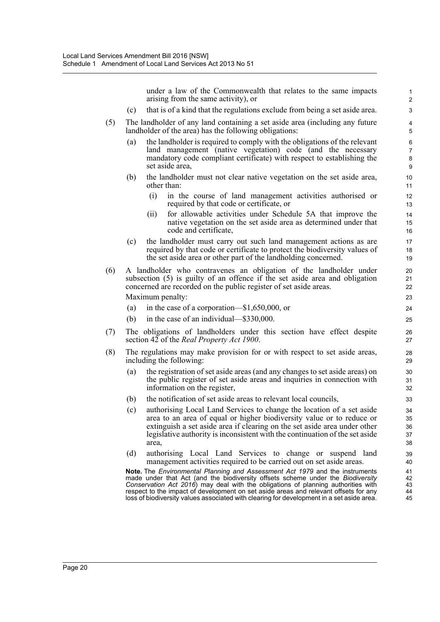under a law of the Commonwealth that relates to the same impacts arising from the same activity), or

- (c) that is of a kind that the regulations exclude from being a set aside area.
- (5) The landholder of any land containing a set aside area (including any future landholder of the area) has the following obligations:
	- (a) the landholder is required to comply with the obligations of the relevant land management (native vegetation) code (and the necessary mandatory code compliant certificate) with respect to establishing the set aside area,
	- (b) the landholder must not clear native vegetation on the set aside area, other than:
		- (i) in the course of land management activities authorised or required by that code or certificate, or
		- (ii) for allowable activities under Schedule 5A that improve the native vegetation on the set aside area as determined under that code and certificate,
	- (c) the landholder must carry out such land management actions as are required by that code or certificate to protect the biodiversity values of the set aside area or other part of the landholding concerned.
- (6) A landholder who contravenes an obligation of the landholder under subsection (5) is guilty of an offence if the set aside area and obligation concerned are recorded on the public register of set aside areas. Maximum penalty:
	- (a) in the case of a corporation—\$1,650,000, or
	- (b) in the case of an individual—\$330,000.
- (7) The obligations of landholders under this section have effect despite section 42 of the *Real Property Act 1900*.
- (8) The regulations may make provision for or with respect to set aside areas, including the following:
	- (a) the registration of set aside areas (and any changes to set aside areas) on the public register of set aside areas and inquiries in connection with information on the register,
	- (b) the notification of set aside areas to relevant local councils,
	- (c) authorising Local Land Services to change the location of a set aside area to an area of equal or higher biodiversity value or to reduce or extinguish a set aside area if clearing on the set aside area under other legislative authority is inconsistent with the continuation of the set aside area,
	- (d) authorising Local Land Services to change or suspend land management activities required to be carried out on set aside areas.

**Note.** The *Environmental Planning and Assessment Act 1979* and the instruments made under that Act (and the biodiversity offsets scheme under the *Biodiversity Conservation Act 2016*) may deal with the obligations of planning authorities with respect to the impact of development on set aside areas and relevant offsets for any loss of biodiversity values associated with clearing for development in a set aside area.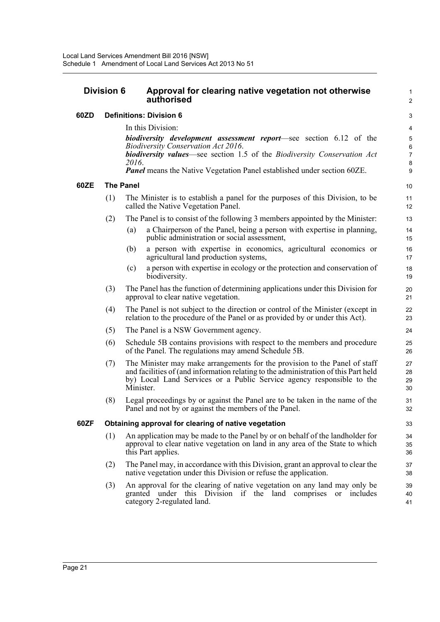#### **Division 6 Approval for clearing native vegetation not otherwise authorised**

#### **60ZD Definitions: Division 6**

In this Division:

*biodiversity development assessment report*—see section 6.12 of the *Biodiversity Conservation Act 2016*. *biodiversity values*—see section 1.5 of the *Biodiversity Conservation Act* 1  $\overline{2}$ 

*<sup>2016</sup>*. *Panel* means the Native Vegetation Panel established under section 60ZE.

#### **60ZE The Panel**

- (1) The Minister is to establish a panel for the purposes of this Division, to be called the Native Vegetation Panel.
- (2) The Panel is to consist of the following 3 members appointed by the Minister:
	- (a) a Chairperson of the Panel, being a person with expertise in planning, public administration or social assessment,
	- (b) a person with expertise in economics, agricultural economics or agricultural land production systems,
	- (c) a person with expertise in ecology or the protection and conservation of biodiversity.
- (3) The Panel has the function of determining applications under this Division for approval to clear native vegetation.
- (4) The Panel is not subject to the direction or control of the Minister (except in relation to the procedure of the Panel or as provided by or under this Act).
- (5) The Panel is a NSW Government agency.
- (6) Schedule 5B contains provisions with respect to the members and procedure of the Panel. The regulations may amend Schedule 5B.
- (7) The Minister may make arrangements for the provision to the Panel of staff and facilities of (and information relating to the administration of this Part held by) Local Land Services or a Public Service agency responsible to the Minister.
- (8) Legal proceedings by or against the Panel are to be taken in the name of the Panel and not by or against the members of the Panel.

#### **60ZF Obtaining approval for clearing of native vegetation**

- (1) An application may be made to the Panel by or on behalf of the landholder for approval to clear native vegetation on land in any area of the State to which this Part applies.
- (2) The Panel may, in accordance with this Division, grant an approval to clear the native vegetation under this Division or refuse the application.
- (3) An approval for the clearing of native vegetation on any land may only be granted under this Division if the land comprises or includes category 2-regulated land.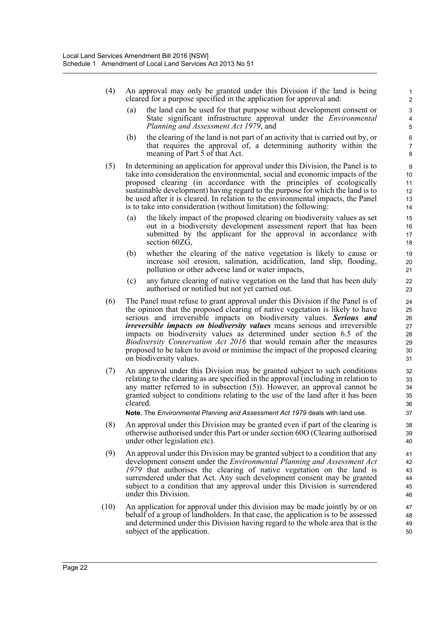- (4) An approval may only be granted under this Division if the land is being cleared for a purpose specified in the application for approval and:
	- (a) the land can be used for that purpose without development consent or State significant infrastructure approval under the *Environmental Planning and Assessment Act 1979*, and

- (b) the clearing of the land is not part of an activity that is carried out by, or that requires the approval of, a determining authority within the meaning of Part 5 of that Act.
- (5) In determining an application for approval under this Division, the Panel is to take into consideration the environmental, social and economic impacts of the proposed clearing (in accordance with the principles of ecologically sustainable development) having regard to the purpose for which the land is to be used after it is cleared. In relation to the environmental impacts, the Panel is to take into consideration (without limitation) the following:
	- (a) the likely impact of the proposed clearing on biodiversity values as set out in a biodiversity development assessment report that has been submitted by the applicant for the approval in accordance with section 60ZG,
	- (b) whether the clearing of the native vegetation is likely to cause or increase soil erosion, salination, acidification, land slip, flooding, pollution or other adverse land or water impacts,
	- (c) any future clearing of native vegetation on the land that has been duly authorised or notified but not yet carried out.
- (6) The Panel must refuse to grant approval under this Division if the Panel is of the opinion that the proposed clearing of native vegetation is likely to have serious and irreversible impacts on biodiversity values. *Serious and irreversible impacts on biodiversity values* means serious and irreversible impacts on biodiversity values as determined under section 6.5 of the *Biodiversity Conservation Act 2016* that would remain after the measures proposed to be taken to avoid or minimise the impact of the proposed clearing on biodiversity values.
- (7) An approval under this Division may be granted subject to such conditions relating to the clearing as are specified in the approval (including in relation to any matter referred to in subsection (5)). However, an approval cannot be granted subject to conditions relating to the use of the land after it has been cleared.

**Note.** The *Environmental Planning and Assessment Act 1979* deals with land use.

- (8) An approval under this Division may be granted even if part of the clearing is otherwise authorised under this Part or under section 60O (Clearing authorised under other legislation etc).
- (9) An approval under this Division may be granted subject to a condition that any development consent under the *Environmental Planning and Assessment Act 1979* that authorises the clearing of native vegetation on the land is surrendered under that Act. Any such development consent may be granted subject to a condition that any approval under this Division is surrendered under this Division.
- (10) An application for approval under this division may be made jointly by or on behalf of a group of landholders. In that case, the application is to be assessed and determined under this Division having regard to the whole area that is the subject of the application.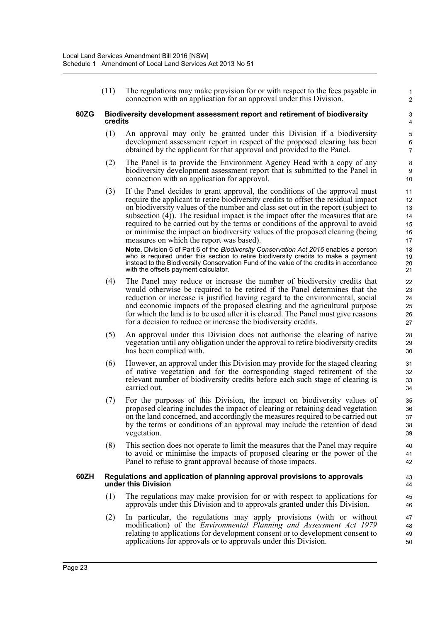(11) The regulations may make provision for or with respect to the fees payable in connection with an application for an approval under this Division.

1 2

#### **60ZG Biodiversity development assessment report and retirement of biodiversity credits**

- (1) An approval may only be granted under this Division if a biodiversity development assessment report in respect of the proposed clearing has been obtained by the applicant for that approval and provided to the Panel.
- (2) The Panel is to provide the Environment Agency Head with a copy of any biodiversity development assessment report that is submitted to the Panel in connection with an application for approval.
- (3) If the Panel decides to grant approval, the conditions of the approval must require the applicant to retire biodiversity credits to offset the residual impact on biodiversity values of the number and class set out in the report (subject to subsection (4)). The residual impact is the impact after the measures that are required to be carried out by the terms or conditions of the approval to avoid or minimise the impact on biodiversity values of the proposed clearing (being measures on which the report was based).

**Note.** Division 6 of Part 6 of the *Biodiversity Conservation Act 2016* enables a person who is required under this section to retire biodiversity credits to make a payment instead to the Biodiversity Conservation Fund of the value of the credits in accordance with the offsets payment calculator.

- (4) The Panel may reduce or increase the number of biodiversity credits that would otherwise be required to be retired if the Panel determines that the reduction or increase is justified having regard to the environmental, social and economic impacts of the proposed clearing and the agricultural purpose for which the land is to be used after it is cleared. The Panel must give reasons for a decision to reduce or increase the biodiversity credits.
- (5) An approval under this Division does not authorise the clearing of native vegetation until any obligation under the approval to retire biodiversity credits has been complied with.
- (6) However, an approval under this Division may provide for the staged clearing of native vegetation and for the corresponding staged retirement of the relevant number of biodiversity credits before each such stage of clearing is carried out.
- (7) For the purposes of this Division, the impact on biodiversity values of proposed clearing includes the impact of clearing or retaining dead vegetation on the land concerned, and accordingly the measures required to be carried out by the terms or conditions of an approval may include the retention of dead vegetation.
- (8) This section does not operate to limit the measures that the Panel may require to avoid or minimise the impacts of proposed clearing or the power of the Panel to refuse to grant approval because of those impacts.

#### **60ZH Regulations and application of planning approval provisions to approvals under this Division**

- (1) The regulations may make provision for or with respect to applications for approvals under this Division and to approvals granted under this Division.
- (2) In particular, the regulations may apply provisions (with or without modification) of the *Environmental Planning and Assessment Act 1979* relating to applications for development consent or to development consent to applications for approvals or to approvals under this Division.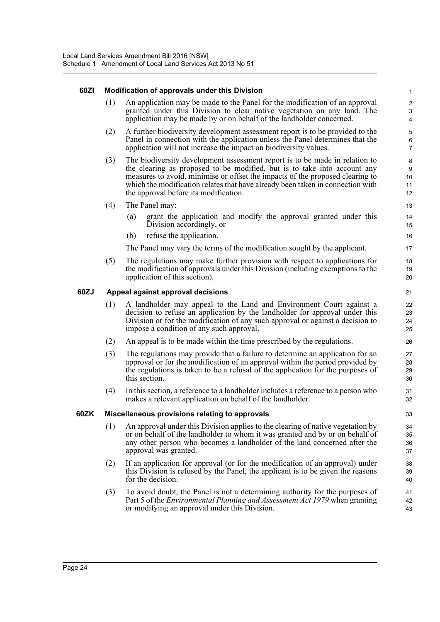#### **60ZI Modification of approvals under this Division**

(1) An application may be made to the Panel for the modification of an approval granted under this Division to clear native vegetation on any land. The application may be made by or on behalf of the landholder concerned.

- (2) A further biodiversity development assessment report is to be provided to the Panel in connection with the application unless the Panel determines that the application will not increase the impact on biodiversity values.
- (3) The biodiversity development assessment report is to be made in relation to the clearing as proposed to be modified, but is to take into account any measures to avoid, minimise or offset the impacts of the proposed clearing to which the modification relates that have already been taken in connection with the approval before its modification.
- (4) The Panel may:
	- (a) grant the application and modify the approval granted under this Division accordingly, or
	- (b) refuse the application.

The Panel may vary the terms of the modification sought by the applicant.

(5) The regulations may make further provision with respect to applications for the modification of approvals under this Division (including exemptions to the application of this section).

#### **60ZJ Appeal against approval decisions**

- (1) A landholder may appeal to the Land and Environment Court against a decision to refuse an application by the landholder for approval under this Division or for the modification of any such approval or against a decision to impose a condition of any such approval.
- (2) An appeal is to be made within the time prescribed by the regulations.
- (3) The regulations may provide that a failure to determine an application for an approval or for the modification of an approval within the period provided by the regulations is taken to be a refusal of the application for the purposes of this section.
- (4) In this section, a reference to a landholder includes a reference to a person who makes a relevant application on behalf of the landholder.

#### **60ZK Miscellaneous provisions relating to approvals**

- (1) An approval under this Division applies to the clearing of native vegetation by or on behalf of the landholder to whom it was granted and by or on behalf of any other person who becomes a landholder of the land concerned after the approval was granted.
- (2) If an application for approval (or for the modification of an approval) under this Division is refused by the Panel, the applicant is to be given the reasons for the decision.
- (3) To avoid doubt, the Panel is not a determining authority for the purposes of Part 5 of the *Environmental Planning and Assessment Act 1979* when granting or modifying an approval under this Division.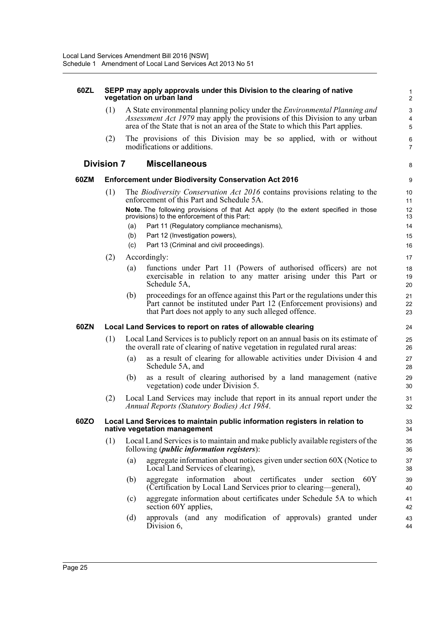| 60ZL |                   | SEPP may apply approvals under this Division to the clearing of native<br>vegetation on urban land                                                                                                                                                                                                                                                                                                                       | $\mathbf{1}$<br>$\overline{2}$              |
|------|-------------------|--------------------------------------------------------------------------------------------------------------------------------------------------------------------------------------------------------------------------------------------------------------------------------------------------------------------------------------------------------------------------------------------------------------------------|---------------------------------------------|
|      | (1)               | A State environmental planning policy under the <i>Environmental Planning and</i><br>Assessment Act 1979 may apply the provisions of this Division to any urban<br>area of the State that is not an area of the State to which this Part applies.                                                                                                                                                                        | $\mathsf 3$<br>$\overline{\mathbf{4}}$<br>5 |
|      | (2)               | The provisions of this Division may be so applied, with or without<br>modifications or additions.                                                                                                                                                                                                                                                                                                                        | 6<br>$\overline{7}$                         |
|      | <b>Division 7</b> | <b>Miscellaneous</b>                                                                                                                                                                                                                                                                                                                                                                                                     | 8                                           |
| 60ZM |                   | <b>Enforcement under Biodiversity Conservation Act 2016</b>                                                                                                                                                                                                                                                                                                                                                              | 9                                           |
|      | (1)               | The <i>Biodiversity Conservation Act 2016</i> contains provisions relating to the<br>enforcement of this Part and Schedule 5A.<br>Note. The following provisions of that Act apply (to the extent specified in those<br>provisions) to the enforcement of this Part:<br>Part 11 (Regulatory compliance mechanisms),<br>(a)<br>(b)<br>Part 12 (Investigation powers),<br>Part 13 (Criminal and civil proceedings).<br>(c) | 10<br>11<br>12<br>13<br>14<br>15<br>16      |
|      | (2)               | Accordingly:<br>functions under Part 11 (Powers of authorised officers) are not<br>(a)<br>exercisable in relation to any matter arising under this Part or<br>Schedule 5A,<br>proceedings for an offence against this Part or the regulations under this<br>(b)                                                                                                                                                          | 17<br>18<br>19<br>20<br>21                  |
|      |                   | Part cannot be instituted under Part 12 (Enforcement provisions) and<br>that Part does not apply to any such alleged offence.                                                                                                                                                                                                                                                                                            | 22<br>23                                    |
| 60ZN |                   | Local Land Services to report on rates of allowable clearing                                                                                                                                                                                                                                                                                                                                                             | 24                                          |
|      | (1)               | Local Land Services is to publicly report on an annual basis on its estimate of<br>the overall rate of clearing of native vegetation in regulated rural areas:<br>as a result of clearing for allowable activities under Division 4 and<br>(a)<br>Schedule 5A, and<br>as a result of clearing authorised by a land management (native<br>(b)<br>vegetation) code under Division 5.                                       | 25<br>26<br>27<br>28<br>29<br>30            |
|      | (2)               | Local Land Services may include that report in its annual report under the<br>Annual Reports (Statutory Bodies) Act 1984.                                                                                                                                                                                                                                                                                                | 31<br>32                                    |
| 60ZO |                   | Local Land Services to maintain public information registers in relation to<br>native vegetation management                                                                                                                                                                                                                                                                                                              | 33<br>34                                    |
|      | (1)               | Local Land Services is to maintain and make publicly available registers of the<br>following ( <i>public information registers</i> ):                                                                                                                                                                                                                                                                                    | 35<br>36                                    |
|      |                   | aggregate information about notices given under section 60X (Notice to<br>(a)<br>Local Land Services of clearing),                                                                                                                                                                                                                                                                                                       | 37<br>38                                    |
|      |                   | aggregate information about certificates<br>60Y<br>under<br>section<br>(b)<br>(Certification by Local Land Services prior to clearing—general),                                                                                                                                                                                                                                                                          | 39<br>40                                    |
|      |                   | aggregate information about certificates under Schedule 5A to which<br>(c)<br>section 60Y applies,                                                                                                                                                                                                                                                                                                                       | 41<br>42                                    |
|      |                   | approvals (and any modification of approvals) granted under<br>(d)<br>Division 6,                                                                                                                                                                                                                                                                                                                                        | 43<br>44                                    |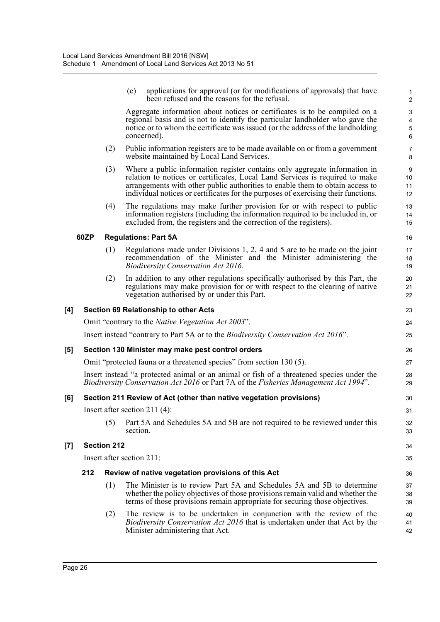|     |      |                    | applications for approval (or for modifications of approvals) that have<br>(e)<br>been refused and the reasons for the refusal.                                                                                                                                                                                                   | $\mathbf{1}$<br>2                |
|-----|------|--------------------|-----------------------------------------------------------------------------------------------------------------------------------------------------------------------------------------------------------------------------------------------------------------------------------------------------------------------------------|----------------------------------|
|     |      |                    | Aggregate information about notices or certificates is to be compiled on a<br>regional basis and is not to identify the particular landholder who gave the<br>notice or to whom the certificate was issued (or the address of the landholding<br>concerned).                                                                      | 3<br>4<br>$\mathbf 5$<br>$\,6\,$ |
|     |      | (2)                | Public information registers are to be made available on or from a government<br>website maintained by Local Land Services.                                                                                                                                                                                                       | $\overline{7}$<br>8              |
|     |      | (3)                | Where a public information register contains only aggregate information in<br>relation to notices or certificates, Local Land Services is required to make<br>arrangements with other public authorities to enable them to obtain access to<br>individual notices or certificates for the purposes of exercising their functions. | $9\,$<br>10<br>11<br>12          |
|     |      | (4)                | The regulations may make further provision for or with respect to public<br>information registers (including the information required to be included in, or<br>excluded from, the registers and the correction of the registers).                                                                                                 | 13<br>14<br>15                   |
|     | 60ZP |                    | <b>Regulations: Part 5A</b>                                                                                                                                                                                                                                                                                                       | 16                               |
|     |      | (1)                | Regulations made under Divisions 1, 2, 4 and 5 are to be made on the joint<br>recommendation of the Minister and the Minister administering the<br><b>Biodiversity Conservation Act 2016.</b>                                                                                                                                     | 17<br>18<br>19                   |
|     |      | (2)                | In addition to any other regulations specifically authorised by this Part, the<br>regulations may make provision for or with respect to the clearing of native<br>vegetation authorised by or under this Part.                                                                                                                    | 20<br>21<br>22                   |
| [4] |      |                    | <b>Section 69 Relationship to other Acts</b>                                                                                                                                                                                                                                                                                      | 23                               |
|     |      |                    | Omit "contrary to the <i>Native Vegetation Act 2003"</i> .                                                                                                                                                                                                                                                                        | 24                               |
|     |      |                    | Insert instead "contrary to Part 5A or to the <i>Biodiversity Conservation Act 2016</i> ".                                                                                                                                                                                                                                        | 25                               |
| [5] |      |                    | Section 130 Minister may make pest control orders                                                                                                                                                                                                                                                                                 | 26                               |
|     |      |                    | Omit "protected fauna or a threatened species" from section 130 (5).                                                                                                                                                                                                                                                              | 27                               |
|     |      |                    | Insert instead "a protected animal or an animal or fish of a threatened species under the<br>Biodiversity Conservation Act 2016 or Part 7A of the Fisheries Management Act 1994".                                                                                                                                                 | 28<br>29                         |
| [6] |      |                    | Section 211 Review of Act (other than native vegetation provisions)                                                                                                                                                                                                                                                               | 30                               |
|     |      |                    | Insert after section 211 $(4)$ :                                                                                                                                                                                                                                                                                                  | 31                               |
|     |      | (5)                | Part 5A and Schedules 5A and 5B are not required to be reviewed under this<br>section.                                                                                                                                                                                                                                            | 32<br>33                         |
| [7] |      | <b>Section 212</b> |                                                                                                                                                                                                                                                                                                                                   | 34                               |
|     |      |                    | Insert after section 211:                                                                                                                                                                                                                                                                                                         | 35                               |
|     | 212  |                    | Review of native vegetation provisions of this Act                                                                                                                                                                                                                                                                                | 36                               |
|     |      | (1)                | The Minister is to review Part 5A and Schedules 5A and 5B to determine<br>whether the policy objectives of those provisions remain valid and whether the<br>terms of those provisions remain appropriate for securing those objectives.                                                                                           | 37<br>38<br>39                   |
|     |      | (2)                | The review is to be undertaken in conjunction with the review of the<br><i>Biodiversity Conservation Act 2016</i> that is undertaken under that Act by the<br>Minister administering that Act.                                                                                                                                    | 40<br>41<br>42                   |
|     |      |                    |                                                                                                                                                                                                                                                                                                                                   |                                  |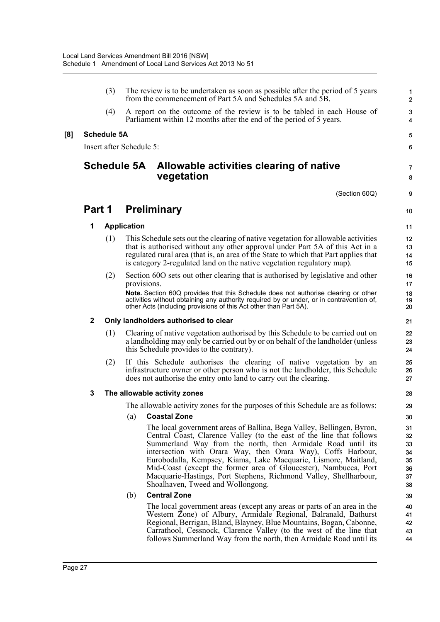|     |             | (3)                |                          | The review is to be undertaken as soon as possible after the period of 5 years<br>from the commencement of Part 5A and Schedules 5A and 5B.                                                                                                                                                                                                                                                                                                                                                                                   | $\mathbf{1}$<br>$\overline{2}$               |
|-----|-------------|--------------------|--------------------------|-------------------------------------------------------------------------------------------------------------------------------------------------------------------------------------------------------------------------------------------------------------------------------------------------------------------------------------------------------------------------------------------------------------------------------------------------------------------------------------------------------------------------------|----------------------------------------------|
|     |             | (4)                |                          | A report on the outcome of the review is to be tabled in each House of<br>Parliament within 12 months after the end of the period of 5 years.                                                                                                                                                                                                                                                                                                                                                                                 | $\mathbf 3$<br>4                             |
| [8] |             | <b>Schedule 5A</b> |                          |                                                                                                                                                                                                                                                                                                                                                                                                                                                                                                                               | 5                                            |
|     |             |                    | Insert after Schedule 5: |                                                                                                                                                                                                                                                                                                                                                                                                                                                                                                                               | 6                                            |
|     |             |                    | <b>Schedule 5A</b>       | Allowable activities clearing of native<br>vegetation                                                                                                                                                                                                                                                                                                                                                                                                                                                                         | $\overline{7}$<br>8                          |
|     |             |                    |                          | (Section 60Q)                                                                                                                                                                                                                                                                                                                                                                                                                                                                                                                 | 9                                            |
|     | Part 1      |                    |                          | <b>Preliminary</b>                                                                                                                                                                                                                                                                                                                                                                                                                                                                                                            | 10                                           |
|     | 1           |                    | <b>Application</b>       |                                                                                                                                                                                                                                                                                                                                                                                                                                                                                                                               | 11                                           |
|     |             | (1)                |                          | This Schedule sets out the clearing of native vegetation for allowable activities<br>that is authorised without any other approval under Part 5A of this Act in a<br>regulated rural area (that is, an area of the State to which that Part applies that<br>is category 2-regulated land on the native vegetation regulatory map).                                                                                                                                                                                            | 12<br>13<br>14<br>15                         |
|     |             | (2)                |                          | Section 600 sets out other clearing that is authorised by legislative and other<br>provisions.                                                                                                                                                                                                                                                                                                                                                                                                                                | 16<br>17                                     |
|     |             |                    |                          | Note. Section 60Q provides that this Schedule does not authorise clearing or other<br>activities without obtaining any authority required by or under, or in contravention of,<br>other Acts (including provisions of this Act other than Part 5A).                                                                                                                                                                                                                                                                           | 18<br>19<br>20                               |
|     | $\mathbf 2$ |                    |                          | Only landholders authorised to clear                                                                                                                                                                                                                                                                                                                                                                                                                                                                                          | 21                                           |
|     |             | (1)                |                          | Clearing of native vegetation authorised by this Schedule to be carried out on<br>a landholding may only be carried out by or on behalf of the landholder (unless<br>this Schedule provides to the contrary).                                                                                                                                                                                                                                                                                                                 | 22<br>23<br>24                               |
|     |             | (2)                |                          | If this Schedule authorises the clearing of native vegetation by an<br>infrastructure owner or other person who is not the landholder, this Schedule<br>does not authorise the entry onto land to carry out the clearing.                                                                                                                                                                                                                                                                                                     | 25<br>26<br>27                               |
|     | 3           |                    |                          | The allowable activity zones                                                                                                                                                                                                                                                                                                                                                                                                                                                                                                  | 28                                           |
|     |             |                    |                          | The allowable activity zones for the purposes of this Schedule are as follows:                                                                                                                                                                                                                                                                                                                                                                                                                                                | 29                                           |
|     |             |                    | (a)                      | <b>Coastal Zone</b>                                                                                                                                                                                                                                                                                                                                                                                                                                                                                                           | 30                                           |
|     |             |                    |                          | The local government areas of Ballina, Bega Valley, Bellingen, Byron,<br>Central Coast, Clarence Valley (to the east of the line that follows<br>Summerland Way from the north, then Armidale Road until its<br>intersection with Orara Way, then Orara Way), Coffs Harbour,<br>Eurobodalla, Kempsey, Kiama, Lake Macquarie, Lismore, Maitland,<br>Mid-Coast (except the former area of Gloucester), Nambucca, Port<br>Macquarie-Hastings, Port Stephens, Richmond Valley, Shellharbour,<br>Shoalhaven, Tweed and Wollongong. | 31<br>32<br>33<br>34<br>35<br>36<br>37<br>38 |
|     |             |                    | (b)                      | <b>Central Zone</b>                                                                                                                                                                                                                                                                                                                                                                                                                                                                                                           | 39                                           |
|     |             |                    |                          | The local government areas (except any areas or parts of an area in the<br>Western Zone) of Albury, Armidale Regional, Balranald, Bathurst<br>Regional, Berrigan, Bland, Blayney, Blue Mountains, Bogan, Cabonne,<br>Carrathool, Cessnock, Clarence Valley (to the west of the line that<br>follows Summerland Way from the north, then Armidale Road until its                                                                                                                                                               | 40<br>41<br>42<br>43<br>44                   |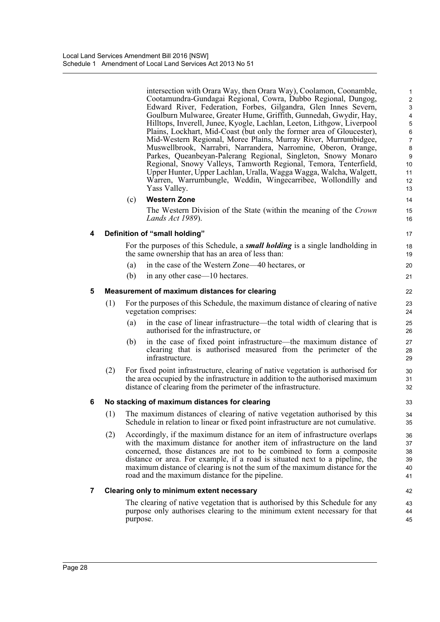intersection with Orara Way, then Orara Way), Coolamon, Coonamble, Cootamundra-Gundagai Regional, Cowra, Dubbo Regional, Dungog, Edward River, Federation, Forbes, Gilgandra, Glen Innes Severn, Goulburn Mulwaree, Greater Hume, Griffith, Gunnedah, Gwydir, Hay, Hilltops, Inverell, Junee, Kyogle, Lachlan, Leeton, Lithgow, Liverpool Plains, Lockhart, Mid-Coast (but only the former area of Gloucester), Mid-Western Regional, Moree Plains, Murray River, Murrumbidgee, Muswellbrook, Narrabri, Narrandera, Narromine, Oberon, Orange, Parkes, Queanbeyan-Palerang Regional, Singleton, Snowy Monaro Regional, Snowy Valleys, Tamworth Regional, Temora, Tenterfield, Upper Hunter, Upper Lachlan, Uralla, Wagga Wagga, Walcha, Walgett, Warren, Warrumbungle, Weddin, Wingecarribee, Wollondilly and Yass Valley.

#### (c) **Western Zone**

The Western Division of the State (within the meaning of the *Crown Lands Act 1989*).

#### **4 Definition of "small holding"**

For the purposes of this Schedule, a *small holding* is a single landholding in the same ownership that has an area of less than:

- (a) in the case of the Western Zone—40 hectares, or
- (b) in any other case—10 hectares.

#### **5 Measurement of maximum distances for clearing**

- (1) For the purposes of this Schedule, the maximum distance of clearing of native vegetation comprises:
	- (a) in the case of linear infrastructure—the total width of clearing that is authorised for the infrastructure, or
	- (b) in the case of fixed point infrastructure—the maximum distance of clearing that is authorised measured from the perimeter of the infrastructure.
- (2) For fixed point infrastructure, clearing of native vegetation is authorised for the area occupied by the infrastructure in addition to the authorised maximum distance of clearing from the perimeter of the infrastructure.

#### **6 No stacking of maximum distances for clearing**

- (1) The maximum distances of clearing of native vegetation authorised by this Schedule in relation to linear or fixed point infrastructure are not cumulative.
- (2) Accordingly, if the maximum distance for an item of infrastructure overlaps with the maximum distance for another item of infrastructure on the land concerned, those distances are not to be combined to form a composite distance or area. For example, if a road is situated next to a pipeline, the maximum distance of clearing is not the sum of the maximum distance for the road and the maximum distance for the pipeline.

#### **7 Clearing only to minimum extent necessary**

The clearing of native vegetation that is authorised by this Schedule for any purpose only authorises clearing to the minimum extent necessary for that purpose.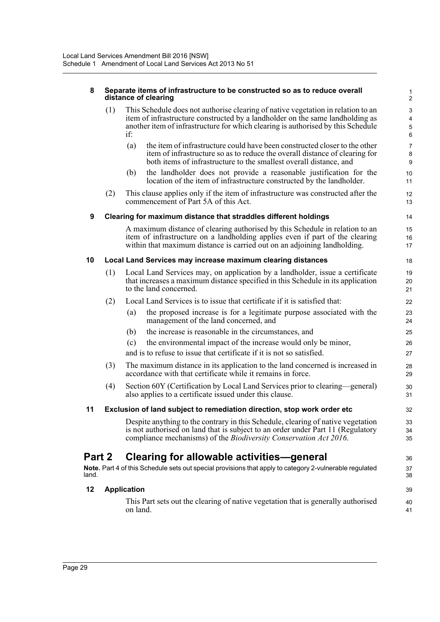#### **8 Separate items of infrastructure to be constructed so as to reduce overall distance of clearing**

| (1) | This Schedule does not authorise clearing of native vegetation in relation to an<br>item of infrastructure constructed by a landholder on the same landholding as<br>another item of infrastructure for which clearing is authorised by this Schedule<br>if: |
|-----|--------------------------------------------------------------------------------------------------------------------------------------------------------------------------------------------------------------------------------------------------------------|
|     |                                                                                                                                                                                                                                                              |

(a) the item of infrastructure could have been constructed closer to the other item of infrastructure so as to reduce the overall distance of clearing for both items of infrastructure to the smallest overall distance, and

- (b) the landholder does not provide a reasonable justification for the location of the item of infrastructure constructed by the landholder.
- (2) This clause applies only if the item of infrastructure was constructed after the commencement of Part 5A of this Act.

#### **9 Clearing for maximum distance that straddles different holdings**

A maximum distance of clearing authorised by this Schedule in relation to an item of infrastructure on a landholding applies even if part of the clearing within that maximum distance is carried out on an adjoining landholding.

#### **10 Local Land Services may increase maximum clearing distances**

- (1) Local Land Services may, on application by a landholder, issue a certificate that increases a maximum distance specified in this Schedule in its application to the land concerned.
- (2) Local Land Services is to issue that certificate if it is satisfied that:
	- (a) the proposed increase is for a legitimate purpose associated with the management of the land concerned, and
	- (b) the increase is reasonable in the circumstances, and
	- (c) the environmental impact of the increase would only be minor,

and is to refuse to issue that certificate if it is not so satisfied.

- (3) The maximum distance in its application to the land concerned is increased in accordance with that certificate while it remains in force.
- (4) Section 60Y (Certification by Local Land Services prior to clearing—general) also applies to a certificate issued under this clause.

#### **11 Exclusion of land subject to remediation direction, stop work order etc**

Despite anything to the contrary in this Schedule, clearing of native vegetation is not authorised on land that is subject to an order under Part 11 (Regulatory compliance mechanisms) of the *Biodiversity Conservation Act 2016*.

## **Part 2 Clearing for allowable activities—general**

**Note.** Part 4 of this Schedule sets out special provisions that apply to category 2-vulnerable regulated land.

#### **12 Application**

This Part sets out the clearing of native vegetation that is generally authorised on land.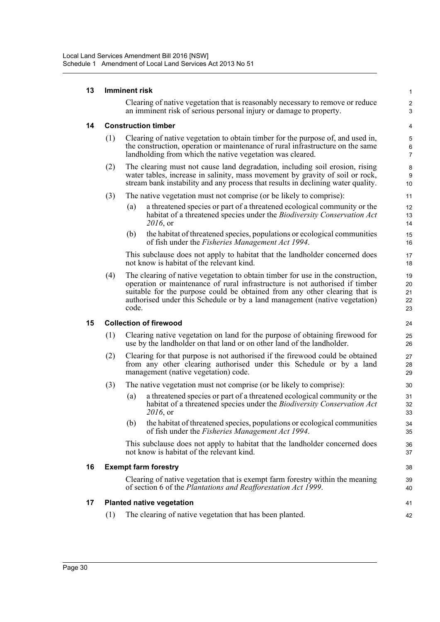| 13 |     | <b>Imminent risk</b>                                                                                                                                                                                                                                                                                                                 |                            |  |  |  |
|----|-----|--------------------------------------------------------------------------------------------------------------------------------------------------------------------------------------------------------------------------------------------------------------------------------------------------------------------------------------|----------------------------|--|--|--|
|    |     | Clearing of native vegetation that is reasonably necessary to remove or reduce<br>an imminent risk of serious personal injury or damage to property.                                                                                                                                                                                 | $\boldsymbol{2}$<br>3      |  |  |  |
| 14 |     | <b>Construction timber</b>                                                                                                                                                                                                                                                                                                           |                            |  |  |  |
|    | (1) | Clearing of native vegetation to obtain timber for the purpose of, and used in,<br>the construction, operation or maintenance of rural infrastructure on the same<br>landholding from which the native vegetation was cleared.                                                                                                       | 5<br>6<br>$\overline{7}$   |  |  |  |
|    | (2) | The clearing must not cause land degradation, including soil erosion, rising<br>water tables, increase in salinity, mass movement by gravity of soil or rock,<br>stream bank instability and any process that results in declining water quality.                                                                                    | 8<br>9<br>10               |  |  |  |
|    | (3) | The native vegetation must not comprise (or be likely to comprise):                                                                                                                                                                                                                                                                  | 11                         |  |  |  |
|    |     | a threatened species or part of a threatened ecological community or the<br>(a)<br>habitat of a threatened species under the Biodiversity Conservation Act<br>2016, or                                                                                                                                                               | 12<br>13<br>14             |  |  |  |
|    |     | the habitat of threatened species, populations or ecological communities<br>(b)<br>of fish under the Fisheries Management Act 1994.                                                                                                                                                                                                  | 15<br>16                   |  |  |  |
|    |     | This subclause does not apply to habitat that the landholder concerned does<br>not know is habitat of the relevant kind.                                                                                                                                                                                                             | 17<br>18                   |  |  |  |
|    | (4) | The clearing of native vegetation to obtain timber for use in the construction,<br>operation or maintenance of rural infrastructure is not authorised if timber<br>suitable for the purpose could be obtained from any other clearing that is<br>authorised under this Schedule or by a land management (native vegetation)<br>code. | 19<br>20<br>21<br>22<br>23 |  |  |  |
| 15 |     | <b>Collection of firewood</b>                                                                                                                                                                                                                                                                                                        | 24                         |  |  |  |
|    | (1) | Clearing native vegetation on land for the purpose of obtaining firewood for<br>use by the landholder on that land or on other land of the landholder.                                                                                                                                                                               | 25<br>26                   |  |  |  |
|    | (2) | Clearing for that purpose is not authorised if the firewood could be obtained<br>from any other clearing authorised under this Schedule or by a land<br>management (native vegetation) code.                                                                                                                                         | 27<br>28<br>29             |  |  |  |
|    | (3) | The native vegetation must not comprise (or be likely to comprise):                                                                                                                                                                                                                                                                  | 30                         |  |  |  |
|    |     | a threatened species or part of a threatened ecological community or the<br>(a)<br>habitat of a threatened species under the <i>Biodiversity Conservation Act</i><br>2016, or                                                                                                                                                        | 31<br>32<br>33             |  |  |  |
|    |     | the habitat of threatened species, populations or ecological communities<br>(b)<br>of fish under the <i>Fisheries Management Act 1994</i> .                                                                                                                                                                                          | 34<br>35                   |  |  |  |
|    |     | This subclause does not apply to habitat that the landholder concerned does<br>not know is habitat of the relevant kind.                                                                                                                                                                                                             | 36<br>37                   |  |  |  |
| 16 |     | <b>Exempt farm forestry</b>                                                                                                                                                                                                                                                                                                          | 38                         |  |  |  |
|    |     | Clearing of native vegetation that is exempt farm forestry within the meaning<br>of section 6 of the Plantations and Reafforestation Act 1999.                                                                                                                                                                                       | 39<br>40                   |  |  |  |
| 17 |     | <b>Planted native vegetation</b>                                                                                                                                                                                                                                                                                                     | 41                         |  |  |  |
|    | (1) | The clearing of native vegetation that has been planted.                                                                                                                                                                                                                                                                             | 42                         |  |  |  |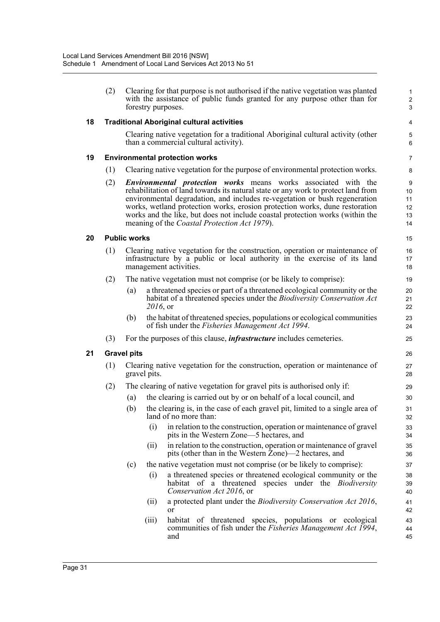|    | (2) |                     | Clearing for that purpose is not authorised if the native vegetation was planted<br>with the assistance of public funds granted for any purpose other than for<br>forestry purposes.                                                                                                                                                                                                                                                                             | $\mathbf{1}$<br>$\mathbf{2}$<br>3 |
|----|-----|---------------------|------------------------------------------------------------------------------------------------------------------------------------------------------------------------------------------------------------------------------------------------------------------------------------------------------------------------------------------------------------------------------------------------------------------------------------------------------------------|-----------------------------------|
| 18 |     |                     | <b>Traditional Aboriginal cultural activities</b>                                                                                                                                                                                                                                                                                                                                                                                                                | 4                                 |
|    |     |                     | Clearing native vegetation for a traditional Aboriginal cultural activity (other<br>than a commercial cultural activity).                                                                                                                                                                                                                                                                                                                                        | 5<br>6                            |
| 19 |     |                     | <b>Environmental protection works</b>                                                                                                                                                                                                                                                                                                                                                                                                                            | 7                                 |
|    | (1) |                     | Clearing native vegetation for the purpose of environmental protection works.                                                                                                                                                                                                                                                                                                                                                                                    | 8                                 |
|    | (2) |                     | <b>Environmental protection works</b> means works associated with the<br>rehabilitation of land towards its natural state or any work to protect land from<br>environmental degradation, and includes re-vegetation or bush regeneration<br>works, wetland protection works, erosion protection works, dune restoration<br>works and the like, but does not include coastal protection works (within the<br>meaning of the <i>Coastal Protection Act 1979</i> ). | 9<br>10<br>11<br>12<br>13<br>14   |
| 20 |     | <b>Public works</b> |                                                                                                                                                                                                                                                                                                                                                                                                                                                                  | 15                                |
|    | (1) |                     | Clearing native vegetation for the construction, operation or maintenance of<br>infrastructure by a public or local authority in the exercise of its land<br>management activities.                                                                                                                                                                                                                                                                              | 16<br>17<br>18                    |
|    | (2) |                     | The native vegetation must not comprise (or be likely to comprise):                                                                                                                                                                                                                                                                                                                                                                                              | 19                                |
|    |     | (a)                 | a threatened species or part of a threatened ecological community or the<br>habitat of a threatened species under the Biodiversity Conservation Act<br>2016, or                                                                                                                                                                                                                                                                                                  | 20<br>21<br>22                    |
|    |     | (b)                 | the habitat of threatened species, populations or ecological communities<br>of fish under the <i>Fisheries Management Act 1994</i> .                                                                                                                                                                                                                                                                                                                             | 23<br>24                          |
|    | (3) |                     | For the purposes of this clause, <i>infrastructure</i> includes cemeteries.                                                                                                                                                                                                                                                                                                                                                                                      | 25                                |
| 21 |     | <b>Gravel pits</b>  |                                                                                                                                                                                                                                                                                                                                                                                                                                                                  | 26                                |
|    | (1) |                     | Clearing native vegetation for the construction, operation or maintenance of<br>gravel pits.                                                                                                                                                                                                                                                                                                                                                                     | 27<br>28                          |
|    | (2) |                     | The clearing of native vegetation for gravel pits is authorised only if:                                                                                                                                                                                                                                                                                                                                                                                         | 29                                |
|    |     | (a)                 | the clearing is carried out by or on behalf of a local council, and                                                                                                                                                                                                                                                                                                                                                                                              | 30                                |
|    |     | (b)                 | the clearing is, in the case of each gravel pit, limited to a single area of<br>land of no more than:                                                                                                                                                                                                                                                                                                                                                            | 31<br>32                          |
|    |     |                     | in relation to the construction, operation or maintenance of gravel<br>(i)<br>pits in the Western Zone—5 hectares, and                                                                                                                                                                                                                                                                                                                                           | 33<br>34                          |
|    |     |                     | in relation to the construction, operation or maintenance of gravel<br>(ii)<br>pits (other than in the Western Zone)—2 hectares, and                                                                                                                                                                                                                                                                                                                             | 35<br>36                          |
|    |     | (c)                 | the native vegetation must not comprise (or be likely to comprise):                                                                                                                                                                                                                                                                                                                                                                                              | 37                                |
|    |     |                     | a threatened species or threatened ecological community or the<br>(i)<br>habitat of a threatened species under the <i>Biodiversity</i><br>Conservation Act 2016, or                                                                                                                                                                                                                                                                                              | 38<br>39<br>40                    |
|    |     |                     | a protected plant under the <i>Biodiversity Conservation Act 2016</i> ,<br>(ii)<br>or                                                                                                                                                                                                                                                                                                                                                                            | 41<br>42                          |
|    |     |                     | habitat of threatened species, populations or ecological<br>(iii)<br>communities of fish under the <i>Fisheries Management Act 1994</i> ,<br>and                                                                                                                                                                                                                                                                                                                 | 43<br>44<br>45                    |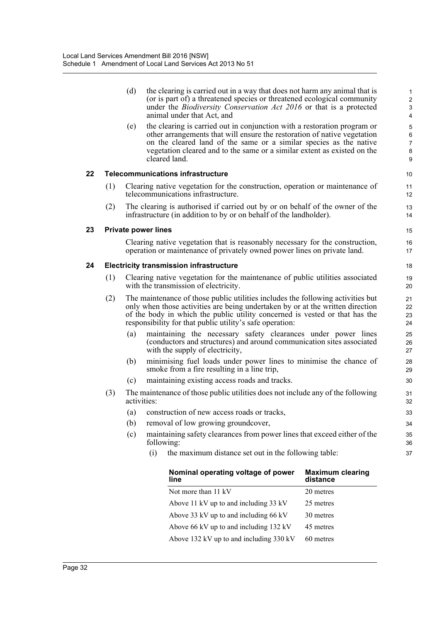|    |     | (d)         | the clearing is carried out in a way that does not harm any animal that is<br>(or is part of) a threatened species or threatened ecological community<br>under the <i>Biodiversity Conservation Act 2016</i> or that is a protected<br>animal under that Act, and                                                       | $\mathbf{1}$<br>$\overline{c}$<br>3<br>4 |
|----|-----|-------------|-------------------------------------------------------------------------------------------------------------------------------------------------------------------------------------------------------------------------------------------------------------------------------------------------------------------------|------------------------------------------|
|    |     | (e)         | the clearing is carried out in conjunction with a restoration program or<br>other arrangements that will ensure the restoration of native vegetation<br>on the cleared land of the same or a similar species as the native<br>vegetation cleared and to the same or a similar extent as existed on the<br>cleared land. | 5<br>6<br>7<br>8<br>9                    |
| 22 |     |             | <b>Telecommunications infrastructure</b>                                                                                                                                                                                                                                                                                | 10                                       |
|    | (1) |             | Clearing native vegetation for the construction, operation or maintenance of<br>telecommunications infrastructure.                                                                                                                                                                                                      | 11<br>12                                 |
|    | (2) |             | The clearing is authorised if carried out by or on behalf of the owner of the<br>infrastructure (in addition to by or on behalf of the landholder).                                                                                                                                                                     | 13<br>14                                 |
| 23 |     |             | <b>Private power lines</b>                                                                                                                                                                                                                                                                                              | 15                                       |
|    |     |             | Clearing native vegetation that is reasonably necessary for the construction,<br>operation or maintenance of privately owned power lines on private land.                                                                                                                                                               | 16<br>17                                 |
| 24 |     |             | <b>Electricity transmission infrastructure</b>                                                                                                                                                                                                                                                                          | 18                                       |
|    | (1) |             | Clearing native vegetation for the maintenance of public utilities associated<br>with the transmission of electricity.                                                                                                                                                                                                  | 19<br>20                                 |
|    | (2) |             | The maintenance of those public utilities includes the following activities but<br>only when those activities are being undertaken by or at the written direction<br>of the body in which the public utility concerned is vested or that has the<br>responsibility for that public utility's safe operation:            | 21<br>22<br>23<br>24                     |
|    |     | (a)         | maintaining the necessary safety clearances under power lines<br>(conductors and structures) and around communication sites associated<br>with the supply of electricity,                                                                                                                                               | 25<br>26<br>27                           |
|    |     | (b)         | minimising fuel loads under power lines to minimise the chance of<br>smoke from a fire resulting in a line trip,                                                                                                                                                                                                        | 28<br>29                                 |
|    |     | (c)         | maintaining existing access roads and tracks.                                                                                                                                                                                                                                                                           | 30                                       |
|    | (3) | activities: | The maintenance of those public utilities does not include any of the following                                                                                                                                                                                                                                         | 31<br>32                                 |
|    |     | (a)         | construction of new access roads or tracks,                                                                                                                                                                                                                                                                             | 33                                       |
|    |     | (b)         | removal of low growing groundcover,                                                                                                                                                                                                                                                                                     | 34                                       |
|    |     | (c)         | maintaining safety clearances from power lines that exceed either of the<br>following:                                                                                                                                                                                                                                  | 35<br>36                                 |
|    |     |             | (i)<br>the maximum distance set out in the following table:                                                                                                                                                                                                                                                             | 37                                       |

| Nominal operating voltage of power<br>line | <b>Maximum clearing</b><br>distance |
|--------------------------------------------|-------------------------------------|
| Not more than 11 kV                        | 20 metres                           |
| Above 11 kV up to and including 33 kV      | 25 metres                           |
| Above 33 kV up to and including 66 kV      | 30 metres                           |
| Above 66 kV up to and including 132 kV     | 45 metres                           |
| Above 132 kV up to and including 330 kV    | 60 metres                           |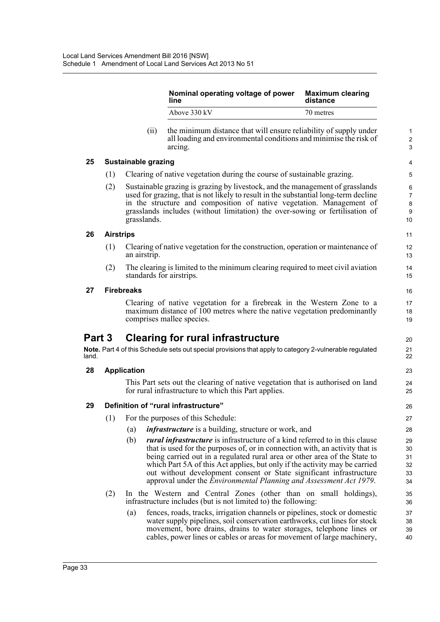|        |                  |                            | Nominal operating voltage of power<br>line                                                                                                                                                                                                                                                                                                                                                                                                                                         | <b>Maximum clearing</b><br>distance |
|--------|------------------|----------------------------|------------------------------------------------------------------------------------------------------------------------------------------------------------------------------------------------------------------------------------------------------------------------------------------------------------------------------------------------------------------------------------------------------------------------------------------------------------------------------------|-------------------------------------|
|        |                  |                            | Above 330 kV                                                                                                                                                                                                                                                                                                                                                                                                                                                                       | 70 metres                           |
|        |                  | (ii)                       | the minimum distance that will ensure reliability of supply under<br>all loading and environmental conditions and minimise the risk of<br>arcing.                                                                                                                                                                                                                                                                                                                                  |                                     |
| 25     |                  | <b>Sustainable grazing</b> |                                                                                                                                                                                                                                                                                                                                                                                                                                                                                    |                                     |
|        | (1)              |                            | Clearing of native vegetation during the course of sustainable grazing.                                                                                                                                                                                                                                                                                                                                                                                                            |                                     |
|        | (2)              | grasslands.                | Sustainable grazing is grazing by livestock, and the management of grasslands<br>used for grazing, that is not likely to result in the substantial long-term decline<br>in the structure and composition of native vegetation. Management of<br>grasslands includes (without limitation) the over-sowing or fertilisation of                                                                                                                                                       |                                     |
| 26     | <b>Airstrips</b> |                            |                                                                                                                                                                                                                                                                                                                                                                                                                                                                                    |                                     |
|        | (1)              | an airstrip.               | Clearing of native vegetation for the construction, operation or maintenance of                                                                                                                                                                                                                                                                                                                                                                                                    |                                     |
|        | (2)              |                            | The clearing is limited to the minimum clearing required to meet civil aviation<br>standards for airstrips.                                                                                                                                                                                                                                                                                                                                                                        |                                     |
| 27     |                  | <b>Firebreaks</b>          |                                                                                                                                                                                                                                                                                                                                                                                                                                                                                    |                                     |
|        |                  |                            | Clearing of native vegetation for a firebreak in the Western Zone to a<br>maximum distance of 100 metres where the native vegetation predominantly<br>comprises mallee species.                                                                                                                                                                                                                                                                                                    |                                     |
| Part 3 |                  |                            | <b>Clearing for rural infrastructure</b>                                                                                                                                                                                                                                                                                                                                                                                                                                           |                                     |
| land.  |                  |                            | Note. Part 4 of this Schedule sets out special provisions that apply to category 2-vulnerable regulated                                                                                                                                                                                                                                                                                                                                                                            |                                     |
| 28     |                  | <b>Application</b>         |                                                                                                                                                                                                                                                                                                                                                                                                                                                                                    |                                     |
|        |                  |                            | This Part sets out the clearing of native vegetation that is authorised on land<br>for rural infrastructure to which this Part applies.                                                                                                                                                                                                                                                                                                                                            |                                     |
| 29     |                  |                            | Definition of "rural infrastructure"                                                                                                                                                                                                                                                                                                                                                                                                                                               |                                     |
|        | (1)              |                            | For the purposes of this Schedule:                                                                                                                                                                                                                                                                                                                                                                                                                                                 |                                     |
|        |                  | (a)                        | <i>infrastructure</i> is a building, structure or work, and                                                                                                                                                                                                                                                                                                                                                                                                                        |                                     |
|        |                  | (b)                        | <i>rural infrastructure</i> is infrastructure of a kind referred to in this clause<br>that is used for the purposes of, or in connection with, an activity that is<br>being carried out in a regulated rural area or other area of the State to<br>which Part 5A of this Act applies, but only if the activity may be carried<br>out without development consent or State significant infrastructure<br>approval under the <i>Environmental Planning and Assessment Act 1979</i> . |                                     |
|        | (2)              |                            | In the Western and Central Zones (other than on small holdings),<br>infrastructure includes (but is not limited to) the following:                                                                                                                                                                                                                                                                                                                                                 |                                     |
|        |                  | (a)                        | fences, roads, tracks, irrigation channels or pipelines, stock or domestic<br>water supply pipelines, soil conservation earthworks, cut lines for stock<br>movement, bore drains, drains to water storages, telephone lines or<br>cables, power lines or cables or areas for movement of large machinery,                                                                                                                                                                          |                                     |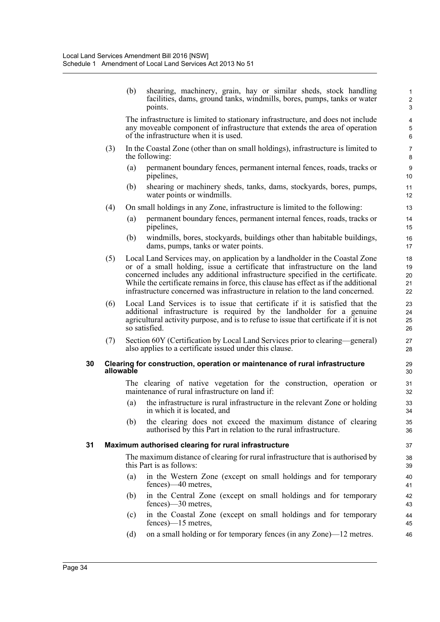(b) shearing, machinery, grain, hay or similar sheds, stock handling facilities, dams, ground tanks, windmills, bores, pumps, tanks or water points.

The infrastructure is limited to stationary infrastructure, and does not include any moveable component of infrastructure that extends the area of operation of the infrastructure when it is used.

- (3) In the Coastal Zone (other than on small holdings), infrastructure is limited to the following:
	- (a) permanent boundary fences, permanent internal fences, roads, tracks or pipelines,
	- (b) shearing or machinery sheds, tanks, dams, stockyards, bores, pumps, water points or windmills.
- (4) On small holdings in any Zone, infrastructure is limited to the following:
	- (a) permanent boundary fences, permanent internal fences, roads, tracks or pipelines,
	- (b) windmills, bores, stockyards, buildings other than habitable buildings, dams, pumps, tanks or water points.
- (5) Local Land Services may, on application by a landholder in the Coastal Zone or of a small holding, issue a certificate that infrastructure on the land concerned includes any additional infrastructure specified in the certificate. While the certificate remains in force, this clause has effect as if the additional infrastructure concerned was infrastructure in relation to the land concerned.
- (6) Local Land Services is to issue that certificate if it is satisfied that the additional infrastructure is required by the landholder for a genuine agricultural activity purpose, and is to refuse to issue that certificate if it is not so satisfied.
- (7) Section 60Y (Certification by Local Land Services prior to clearing—general) also applies to a certificate issued under this clause.

#### **30 Clearing for construction, operation or maintenance of rural infrastructure allowable**

The clearing of native vegetation for the construction, operation or maintenance of rural infrastructure on land if:

- (a) the infrastructure is rural infrastructure in the relevant Zone or holding in which it is located, and
- (b) the clearing does not exceed the maximum distance of clearing authorised by this Part in relation to the rural infrastructure.

#### **31 Maximum authorised clearing for rural infrastructure**

The maximum distance of clearing for rural infrastructure that is authorised by this Part is as follows:

- (a) in the Western Zone (except on small holdings and for temporary fences)—40 metres,
- (b) in the Central Zone (except on small holdings and for temporary fences)—30 metres,
- (c) in the Coastal Zone (except on small holdings and for temporary fences)—15 metres,
- (d) on a small holding or for temporary fences (in any Zone)—12 metres.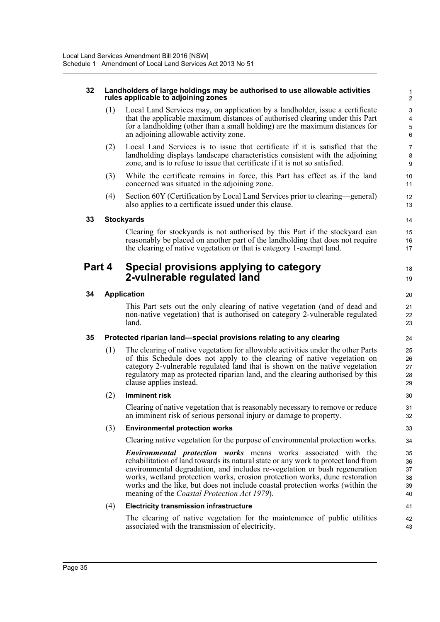#### **32 Landholders of large holdings may be authorised to use allowable activities rules applicable to adjoining zones**

(1) Local Land Services may, on application by a landholder, issue a certificate that the applicable maximum distances of authorised clearing under this Part for a landholding (other than a small holding) are the maximum distances for an adjoining allowable activity zone.

18 19

- (2) Local Land Services is to issue that certificate if it is satisfied that the landholding displays landscape characteristics consistent with the adjoining zone, and is to refuse to issue that certificate if it is not so satisfied.
- (3) While the certificate remains in force, this Part has effect as if the land concerned was situated in the adjoining zone.
- (4) Section 60Y (Certification by Local Land Services prior to clearing—general) also applies to a certificate issued under this clause.

#### **33 Stockyards**

Clearing for stockyards is not authorised by this Part if the stockyard can reasonably be placed on another part of the landholding that does not require the clearing of native vegetation or that is category 1-exempt land.

### **Part 4 Special provisions applying to category 2-vulnerable regulated land**

#### **34 Application**

This Part sets out the only clearing of native vegetation (and of dead and non-native vegetation) that is authorised on category 2-vulnerable regulated land.

#### **35 Protected riparian land—special provisions relating to any clearing**

(1) The clearing of native vegetation for allowable activities under the other Parts of this Schedule does not apply to the clearing of native vegetation on category 2-vulnerable regulated land that is shown on the native vegetation regulatory map as protected riparian land, and the clearing authorised by this clause applies instead.

#### (2) **Imminent risk**

Clearing of native vegetation that is reasonably necessary to remove or reduce an imminent risk of serious personal injury or damage to property.

#### (3) **Environmental protection works**

Clearing native vegetation for the purpose of environmental protection works.

*Environmental protection works* means works associated with the rehabilitation of land towards its natural state or any work to protect land from environmental degradation, and includes re-vegetation or bush regeneration works, wetland protection works, erosion protection works, dune restoration works and the like, but does not include coastal protection works (within the meaning of the *Coastal Protection Act 1979*).

#### (4) **Electricity transmission infrastructure**

The clearing of native vegetation for the maintenance of public utilities associated with the transmission of electricity.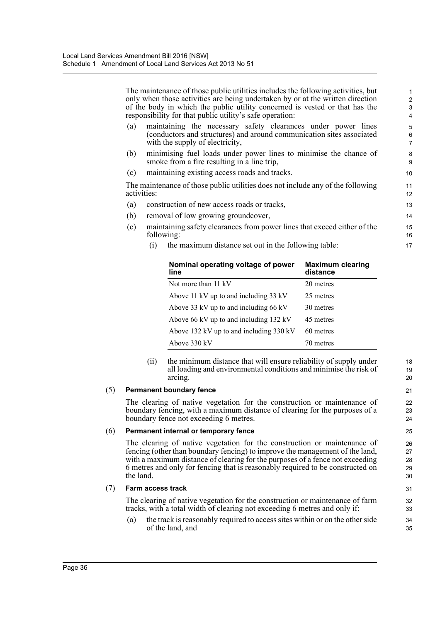The maintenance of those public utilities includes the following activities, but only when those activities are being undertaken by or at the written direction of the body in which the public utility concerned is vested or that has the responsibility for that public utility's safe operation:

- (a) maintaining the necessary safety clearances under power lines (conductors and structures) and around communication sites associated with the supply of electricity,
- (b) minimising fuel loads under power lines to minimise the chance of smoke from a fire resulting in a line trip,
- (c) maintaining existing access roads and tracks.

The maintenance of those public utilities does not include any of the following activities:

- (a) construction of new access roads or tracks,
- (b) removal of low growing groundcover,
- (c) maintaining safety clearances from power lines that exceed either of the following:
	- (i) the maximum distance set out in the following table:

| Nominal operating voltage of power<br>line | <b>Maximum clearing</b><br>distance |
|--------------------------------------------|-------------------------------------|
| Not more than 11 kV                        | 20 metres                           |
| Above 11 kV up to and including 33 kV      | 25 metres                           |
| Above 33 kV up to and including 66 kV      | 30 metres                           |
| Above 66 kV up to and including 132 kV     | 45 metres                           |
| Above 132 kV up to and including 330 kV    | 60 metres                           |
| Above 330 kV                               | 70 metres                           |

(ii) the minimum distance that will ensure reliability of supply under all loading and environmental conditions and minimise the risk of arcing.

#### (5) **Permanent boundary fence**

The clearing of native vegetation for the construction or maintenance of boundary fencing, with a maximum distance of clearing for the purposes of a boundary fence not exceeding 6 metres.

#### (6) **Permanent internal or temporary fence**

The clearing of native vegetation for the construction or maintenance of fencing (other than boundary fencing) to improve the management of the land, with a maximum distance of clearing for the purposes of a fence not exceeding 6 metres and only for fencing that is reasonably required to be constructed on the land.

#### (7) **Farm access track**

The clearing of native vegetation for the construction or maintenance of farm tracks, with a total width of clearing not exceeding 6 metres and only if:

(a) the track is reasonably required to access sites within or on the other side of the land, and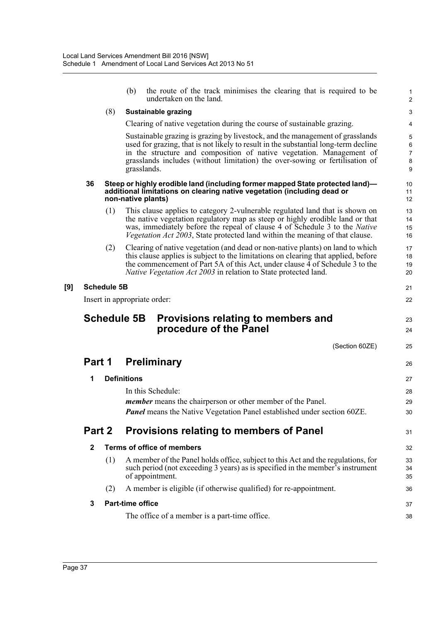|        |                    | (b)                     | the route of the track minimises the clearing that is required to be<br>undertaken on the land.                                                                                                                                                                                                                                             | $\mathbf{1}$<br>2                              |
|--------|--------------------|-------------------------|---------------------------------------------------------------------------------------------------------------------------------------------------------------------------------------------------------------------------------------------------------------------------------------------------------------------------------------------|------------------------------------------------|
|        | (8)                |                         | <b>Sustainable grazing</b>                                                                                                                                                                                                                                                                                                                  | 3                                              |
|        |                    |                         | Clearing of native vegetation during the course of sustainable grazing.                                                                                                                                                                                                                                                                     | 4                                              |
|        |                    |                         | Sustainable grazing is grazing by livestock, and the management of grasslands<br>used for grazing, that is not likely to result in the substantial long-term decline<br>in the structure and composition of native vegetation. Management of<br>grasslands includes (without limitation) the over-sowing or fertilisation of<br>grasslands. | 5<br>$\,6\,$<br>$\overline{7}$<br>$\bf 8$<br>9 |
| 36     |                    |                         | Steep or highly erodible land (including former mapped State protected land)—<br>additional limitations on clearing native vegetation (including dead or<br>non-native plants)                                                                                                                                                              | 10<br>11<br>12                                 |
|        | (1)                |                         | This clause applies to category 2-vulnerable regulated land that is shown on<br>the native vegetation regulatory map as steep or highly erodible land or that<br>was, immediately before the repeal of clause 4 of Schedule 3 to the Native<br>Vegetation Act 2003, State protected land within the meaning of that clause.                 | 13<br>14<br>15<br>16                           |
|        | (2)                |                         | Clearing of native vegetation (and dead or non-native plants) on land to which<br>this clause applies is subject to the limitations on clearing that applied, before<br>the commencement of Part 5A of this Act, under clause 4 of Schedule 3 to the<br><i>Native Vegetation Act 2003</i> in relation to State protected land.              | 17<br>18<br>19<br>20                           |
|        | <b>Schedule 5B</b> |                         |                                                                                                                                                                                                                                                                                                                                             | 21                                             |
|        |                    |                         | Insert in appropriate order:                                                                                                                                                                                                                                                                                                                | 22                                             |
|        |                    |                         |                                                                                                                                                                                                                                                                                                                                             |                                                |
|        | <b>Schedule 5B</b> |                         | Provisions relating to members and<br>procedure of the Panel                                                                                                                                                                                                                                                                                | 23<br>24                                       |
|        |                    |                         | (Section 60ZE)                                                                                                                                                                                                                                                                                                                              | 25                                             |
| Part 1 |                    |                         | <b>Preliminary</b>                                                                                                                                                                                                                                                                                                                          | 26                                             |
| 1      |                    | <b>Definitions</b>      |                                                                                                                                                                                                                                                                                                                                             | 27                                             |
|        |                    |                         | In this Schedule:                                                                                                                                                                                                                                                                                                                           | 28                                             |
|        |                    |                         | <i>member</i> means the chairperson or other member of the Panel.                                                                                                                                                                                                                                                                           | 29                                             |
|        |                    |                         | Panel means the Native Vegetation Panel established under section 60ZE.                                                                                                                                                                                                                                                                     | 30                                             |
| Part 2 |                    |                         | <b>Provisions relating to members of Panel</b>                                                                                                                                                                                                                                                                                              | 31                                             |
| 2      |                    |                         | <b>Terms of office of members</b>                                                                                                                                                                                                                                                                                                           | 32                                             |
|        | (1)                |                         | A member of the Panel holds office, subject to this Act and the regulations, for<br>such period (not exceeding 3 years) as is specified in the member's instrument<br>of appointment.                                                                                                                                                       | 33<br>34<br>35                                 |
|        | (2)                |                         | A member is eligible (if otherwise qualified) for re-appointment.                                                                                                                                                                                                                                                                           | 36                                             |
| 3      |                    | <b>Part-time office</b> |                                                                                                                                                                                                                                                                                                                                             | 37                                             |

**[9]**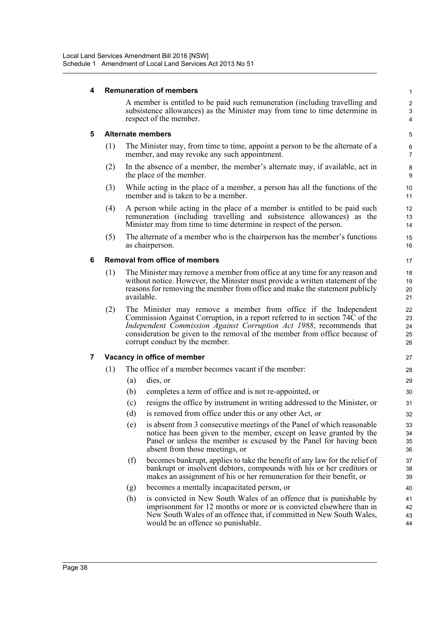#### **4 Remuneration of members**

A member is entitled to be paid such remuneration (including travelling and subsistence allowances) as the Minister may from time to time determine in respect of the member.

#### **5 Alternate members**

- (1) The Minister may, from time to time, appoint a person to be the alternate of a member, and may revoke any such appointment.
- (2) In the absence of a member, the member's alternate may, if available, act in the place of the member.
- (3) While acting in the place of a member, a person has all the functions of the member and is taken to be a member.
- (4) A person while acting in the place of a member is entitled to be paid such remuneration (including travelling and subsistence allowances) as the Minister may from time to time determine in respect of the person.
- (5) The alternate of a member who is the chairperson has the member's functions as chairperson.

#### **6 Removal from office of members**

- (1) The Minister may remove a member from office at any time for any reason and without notice. However, the Minister must provide a written statement of the reasons for removing the member from office and make the statement publicly available.
- (2) The Minister may remove a member from office if the Independent Commission Against Corruption, in a report referred to in section 74C of the *Independent Commission Against Corruption Act 1988*, recommends that consideration be given to the removal of the member from office because of corrupt conduct by the member.

#### **7 Vacancy in office of member**

- (1) The office of a member becomes vacant if the member:
	- (a) dies, or
	- (b) completes a term of office and is not re-appointed, or
	- (c) resigns the office by instrument in writing addressed to the Minister, or
	- (d) is removed from office under this or any other Act, or
	- (e) is absent from 3 consecutive meetings of the Panel of which reasonable notice has been given to the member, except on leave granted by the Panel or unless the member is excused by the Panel for having been absent from those meetings, or
	- (f) becomes bankrupt, applies to take the benefit of any law for the relief of bankrupt or insolvent debtors, compounds with his or her creditors or makes an assignment of his or her remuneration for their benefit, or
	- (g) becomes a mentally incapacitated person, or
	- (h) is convicted in New South Wales of an offence that is punishable by imprisonment for 12 months or more or is convicted elsewhere than in New South Wales of an offence that, if committed in New South Wales, would be an offence so punishable.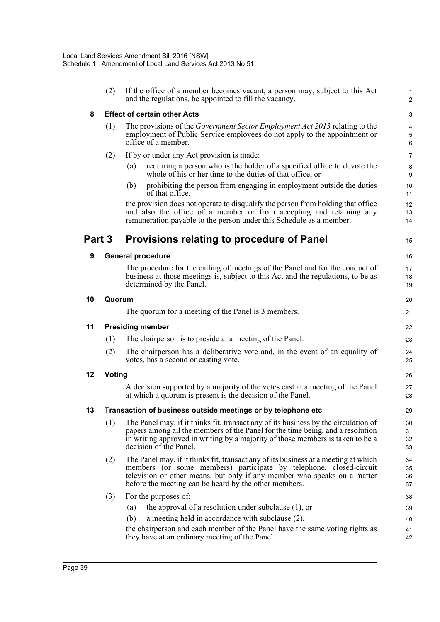|        | (2)    | If the office of a member becomes vacant, a person may, subject to this Act<br>and the regulations, be appointed to fill the vacancy.                                                                                                                                                          | $\mathbf{1}$<br>$\overline{2}$    |
|--------|--------|------------------------------------------------------------------------------------------------------------------------------------------------------------------------------------------------------------------------------------------------------------------------------------------------|-----------------------------------|
| 8      |        | <b>Effect of certain other Acts</b>                                                                                                                                                                                                                                                            | 3                                 |
|        | (1)    | The provisions of the <i>Government Sector Employment Act 2013</i> relating to the<br>employment of Public Service employees do not apply to the appointment or<br>office of a member.                                                                                                         | $\overline{\mathbf{4}}$<br>5<br>6 |
|        | (2)    | If by or under any Act provision is made:                                                                                                                                                                                                                                                      | $\overline{7}$                    |
|        |        | requiring a person who is the holder of a specified office to devote the<br>(a)<br>whole of his or her time to the duties of that office, or                                                                                                                                                   | $\bf 8$<br>$\boldsymbol{9}$       |
|        |        | prohibiting the person from engaging in employment outside the duties<br>(b)<br>of that office,                                                                                                                                                                                                | 10<br>11                          |
|        |        | the provision does not operate to disqualify the person from holding that office<br>and also the office of a member or from accepting and retaining any<br>remuneration payable to the person under this Schedule as a member.                                                                 | 12<br>13<br>14                    |
| Part 3 |        | <b>Provisions relating to procedure of Panel</b>                                                                                                                                                                                                                                               | 15                                |
| 9      |        | <b>General procedure</b>                                                                                                                                                                                                                                                                       | 16                                |
|        |        | The procedure for the calling of meetings of the Panel and for the conduct of<br>business at those meetings is, subject to this Act and the regulations, to be as<br>determined by the Panel.                                                                                                  | 17<br>18<br>19                    |
| 10     | Quorum |                                                                                                                                                                                                                                                                                                | 20                                |
|        |        | The quorum for a meeting of the Panel is 3 members.                                                                                                                                                                                                                                            | 21                                |
| 11     |        | <b>Presiding member</b>                                                                                                                                                                                                                                                                        | 22                                |
|        | (1)    | The chairperson is to preside at a meeting of the Panel.                                                                                                                                                                                                                                       | 23                                |
|        | (2)    | The chairperson has a deliberative vote and, in the event of an equality of<br>votes, has a second or casting vote.                                                                                                                                                                            | 24<br>25                          |
| 12     | Voting |                                                                                                                                                                                                                                                                                                | 26                                |
|        |        | A decision supported by a majority of the votes cast at a meeting of the Panel<br>at which a quorum is present is the decision of the Panel.                                                                                                                                                   | 27<br>28                          |
| 13     |        | Transaction of business outside meetings or by telephone etc                                                                                                                                                                                                                                   | 29                                |
|        | (1)    | The Panel may, if it thinks fit, transact any of its business by the circulation of<br>papers among all the members of the Panel for the time being, and a resolution<br>in writing approved in writing by a majority of those members is taken to be a<br>decision of the Panel.              | 30<br>31<br>32<br>33              |
|        | (2)    | The Panel may, if it thinks fit, transact any of its business at a meeting at which<br>members (or some members) participate by telephone, closed-circuit<br>television or other means, but only if any member who speaks on a matter<br>before the meeting can be heard by the other members. | 34<br>35<br>36<br>37              |
|        | (3)    | For the purposes of:                                                                                                                                                                                                                                                                           | 38                                |
|        |        | the approval of a resolution under subclause (1), or<br>(a)                                                                                                                                                                                                                                    | 39                                |
|        |        | (b)<br>a meeting held in accordance with subclause (2),                                                                                                                                                                                                                                        | 40                                |
|        |        | the chairperson and each member of the Panel have the same voting rights as<br>they have at an ordinary meeting of the Panel.                                                                                                                                                                  | 41<br>42                          |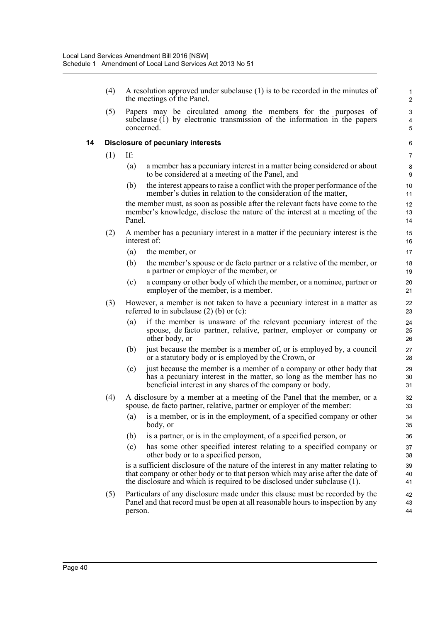(4) A resolution approved under subclause (1) is to be recorded in the minutes of the meetings of the Panel.

(5) Papers may be circulated among the members for the purposes of subclause (1) by electronic transmission of the information in the papers concerned.

#### **14 Disclosure of pecuniary interests**

- (1) If:
	- (a) a member has a pecuniary interest in a matter being considered or about to be considered at a meeting of the Panel, and
	- (b) the interest appears to raise a conflict with the proper performance of the member's duties in relation to the consideration of the matter,

the member must, as soon as possible after the relevant facts have come to the member's knowledge, disclose the nature of the interest at a meeting of the Panel.

- (2) A member has a pecuniary interest in a matter if the pecuniary interest is the interest of:
	- (a) the member, or
	- (b) the member's spouse or de facto partner or a relative of the member, or a partner or employer of the member, or
	- (c) a company or other body of which the member, or a nominee, partner or employer of the member, is a member.
- (3) However, a member is not taken to have a pecuniary interest in a matter as referred to in subclause  $(2)$  (b) or  $(c)$ :
	- (a) if the member is unaware of the relevant pecuniary interest of the spouse, de facto partner, relative, partner, employer or company or other body, or
	- (b) just because the member is a member of, or is employed by, a council or a statutory body or is employed by the Crown, or
	- (c) just because the member is a member of a company or other body that has a pecuniary interest in the matter, so long as the member has no beneficial interest in any shares of the company or body.
- (4) A disclosure by a member at a meeting of the Panel that the member, or a spouse, de facto partner, relative, partner or employer of the member:
	- (a) is a member, or is in the employment, of a specified company or other body, or
	- (b) is a partner, or is in the employment, of a specified person, or
	- (c) has some other specified interest relating to a specified company or other body or to a specified person,

is a sufficient disclosure of the nature of the interest in any matter relating to that company or other body or to that person which may arise after the date of the disclosure and which is required to be disclosed under subclause (1).

(5) Particulars of any disclosure made under this clause must be recorded by the Panel and that record must be open at all reasonable hours to inspection by any person.